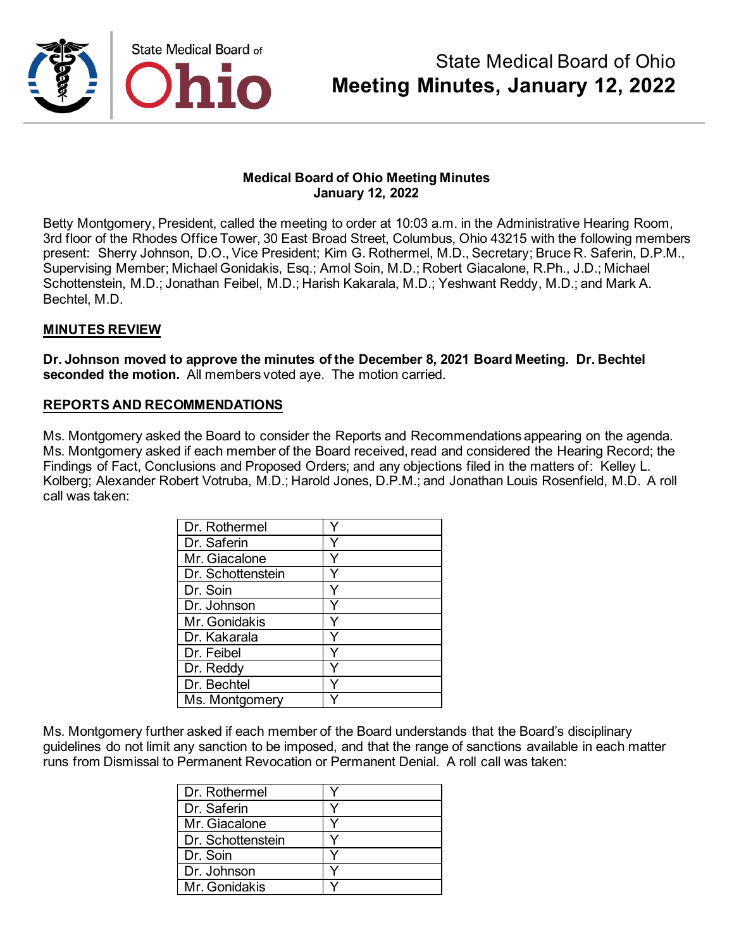

Betty Montgomery, President, called the meeting to order at 10:03 a.m. in the Administrative Hearing Room, 3rd floor of the Rhodes Office Tower, 30 East Broad Street, Columbus, Ohio 43215 with the following members present: Sherry Johnson, D.O., Vice President; Kim G. Rothermel, M.D., Secretary; Bruce R. Saferin, D.P.M., Supervising Member; Michael Gonidakis, Esq.; Amol Soin, M.D.; Robert Giacalone, R.Ph., J.D.; Michael Schottenstein, M.D.; Jonathan Feibel, M.D.; Harish Kakarala, M.D.; Yeshwant Reddy, M.D.; and Mark A. Bechtel, M.D.

#### **MINUTES REVIEW**

**Dr. Johnson moved to approve the minutes of the December 8, 2021 Board Meeting. Dr. Bechtel seconded the motion.** All members voted aye. The motion carried.

#### **REPORTS AND RECOMMENDATIONS**

Ms. Montgomery asked the Board to consider the Reports and Recommendations appearing on the agenda. Ms. Montgomery asked if each member of the Board received, read and considered the Hearing Record; the Findings of Fact, Conclusions and Proposed Orders; and any objections filed in the matters of: Kelley L. Kolberg; Alexander Robert Votruba, M.D.; Harold Jones, D.P.M.; and Jonathan Louis Rosenfield, M.D. A roll call was taken:

| Dr. Rothermel     |  |
|-------------------|--|
| Dr. Saferin       |  |
| Mr. Giacalone     |  |
| Dr. Schottenstein |  |
| Dr. Soin          |  |
| Dr. Johnson       |  |
| Mr. Gonidakis     |  |
| Dr. Kakarala      |  |
| Dr. Feibel        |  |
| Dr. Reddy         |  |
| Dr. Bechtel       |  |
| Ms. Montgomery    |  |

Ms. Montgomery further asked if each member of the Board understands that the Board's disciplinary guidelines do not limit any sanction to be imposed, and that the range of sanctions available in each matter runs from Dismissal to Permanent Revocation or Permanent Denial. A roll call was taken:

| Dr. Rothermel     |  |
|-------------------|--|
| Dr. Saferin       |  |
| Mr. Giacalone     |  |
| Dr. Schottenstein |  |
| Dr. Soin          |  |
| Dr. Johnson       |  |
| Mr. Gonidakis     |  |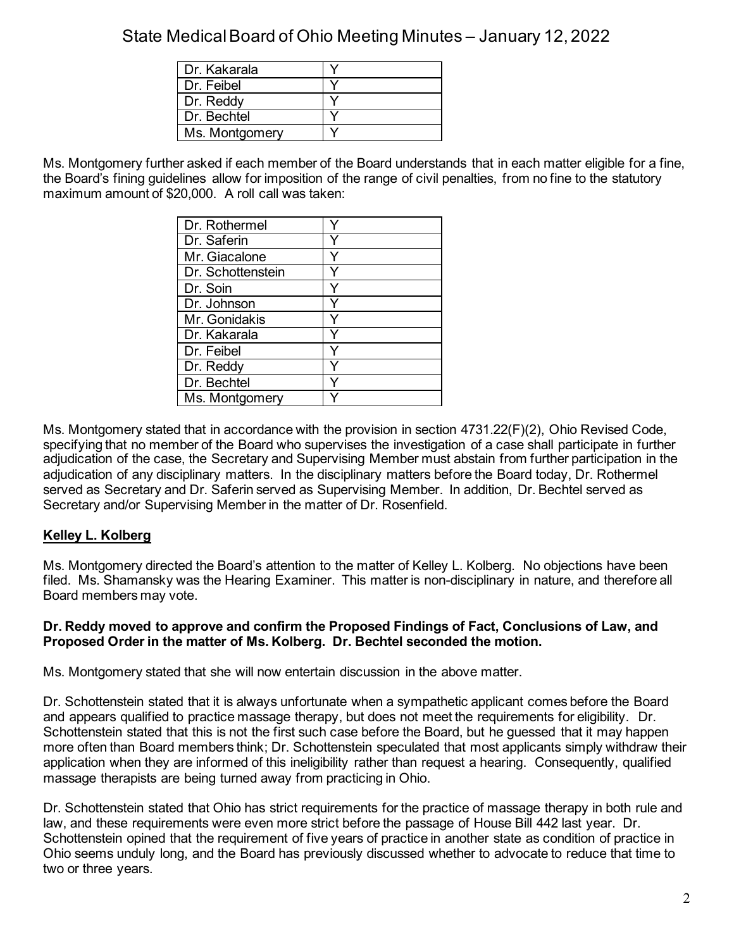| Dr. Kakarala   |  |
|----------------|--|
| Dr. Feibel     |  |
| Dr. Reddy      |  |
| Dr. Bechtel    |  |
| Ms. Montgomery |  |

Ms. Montgomery further asked if each member of the Board understands that in each matter eligible for a fine, the Board's fining guidelines allow for imposition of the range of civil penalties, from no fine to the statutory maximum amount of \$20,000. A roll call was taken:

| Dr. Rothermel     |   |
|-------------------|---|
| Dr. Saferin       |   |
| Mr. Giacalone     |   |
| Dr. Schottenstein |   |
| Dr. Soin          |   |
| Dr. Johnson       |   |
| Mr. Gonidakis     |   |
| Dr. Kakarala      |   |
| Dr. Feibel        | Y |
| Dr. Reddy         |   |
| Dr. Bechtel       |   |
| Ms. Montgomery    |   |

Ms. Montgomery stated that in accordance with the provision in section 4731.22(F)(2), Ohio Revised Code, specifying that no member of the Board who supervises the investigation of a case shall participate in further adjudication of the case, the Secretary and Supervising Member must abstain from further participation in the adjudication of any disciplinary matters. In the disciplinary matters before the Board today, Dr. Rothermel served as Secretary and Dr. Saferin served as Supervising Member. In addition, Dr. Bechtel served as Secretary and/or Supervising Member in the matter of Dr. Rosenfield.

### **Kelley L. Kolberg**

Ms. Montgomery directed the Board's attention to the matter of Kelley L. Kolberg. No objections have been filed. Ms. Shamansky was the Hearing Examiner. This matter is non-disciplinary in nature, and therefore all Board members may vote.

#### **Dr. Reddy moved to approve and confirm the Proposed Findings of Fact, Conclusions of Law, and Proposed Order in the matter of Ms. Kolberg. Dr. Bechtel seconded the motion.**

Ms. Montgomery stated that she will now entertain discussion in the above matter.

Dr. Schottenstein stated that it is always unfortunate when a sympathetic applicant comes before the Board and appears qualified to practice massage therapy, but does not meet the requirements for eligibility. Dr. Schottenstein stated that this is not the first such case before the Board, but he guessed that it may happen more often than Board members think; Dr. Schottenstein speculated that most applicants simply withdraw their application when they are informed of this ineligibility rather than request a hearing. Consequently, qualified massage therapists are being turned away from practicing in Ohio.

Dr. Schottenstein stated that Ohio has strict requirements for the practice of massage therapy in both rule and law, and these requirements were even more strict before the passage of House Bill 442 last year. Dr. Schottenstein opined that the requirement of five years of practice in another state as condition of practice in Ohio seems unduly long, and the Board has previously discussed whether to advocate to reduce that time to two or three years.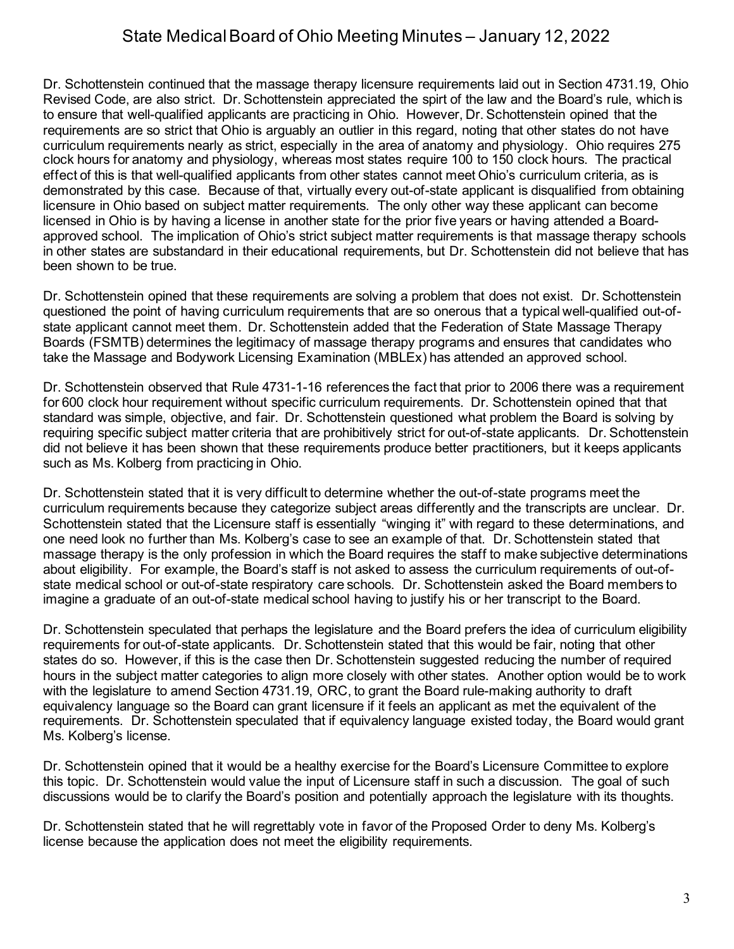Dr. Schottenstein continued that the massage therapy licensure requirements laid out in Section 4731.19, Ohio Revised Code, are also strict. Dr. Schottenstein appreciated the spirt of the law and the Board's rule, which is to ensure that well-qualified applicants are practicing in Ohio. However, Dr. Schottenstein opined that the requirements are so strict that Ohio is arguably an outlier in this regard, noting that other states do not have curriculum requirements nearly as strict, especially in the area of anatomy and physiology. Ohio requires 275 clock hours for anatomy and physiology, whereas most states require 100 to 150 clock hours. The practical effect of this is that well-qualified applicants from other states cannot meet Ohio's curriculum criteria, as is demonstrated by this case. Because of that, virtually every out-of-state applicant is disqualified from obtaining licensure in Ohio based on subject matter requirements. The only other way these applicant can become licensed in Ohio is by having a license in another state for the prior five years or having attended a Boardapproved school. The implication of Ohio's strict subject matter requirements is that massage therapy schools in other states are substandard in their educational requirements, but Dr. Schottenstein did not believe that has been shown to be true.

Dr. Schottenstein opined that these requirements are solving a problem that does not exist. Dr. Schottenstein questioned the point of having curriculum requirements that are so onerous that a typical well-qualified out-ofstate applicant cannot meet them. Dr. Schottenstein added that the Federation of State Massage Therapy Boards (FSMTB) determines the legitimacy of massage therapy programs and ensures that candidates who take the Massage and Bodywork Licensing Examination (MBLEx) has attended an approved school.

Dr. Schottenstein observed that Rule 4731-1-16 references the fact that prior to 2006 there was a requirement for 600 clock hour requirement without specific curriculum requirements. Dr. Schottenstein opined that that standard was simple, objective, and fair. Dr. Schottenstein questioned what problem the Board is solving by requiring specific subject matter criteria that are prohibitively strict for out-of-state applicants. Dr. Schottenstein did not believe it has been shown that these requirements produce better practitioners, but it keeps applicants such as Ms. Kolberg from practicing in Ohio.

Dr. Schottenstein stated that it is very difficult to determine whether the out-of-state programs meet the curriculum requirements because they categorize subject areas differently and the transcripts are unclear. Dr. Schottenstein stated that the Licensure staff is essentially "winging it" with regard to these determinations, and one need look no further than Ms. Kolberg's case to see an example of that. Dr. Schottenstein stated that massage therapy is the only profession in which the Board requires the staff to make subjective determinations about eligibility. For example, the Board's staff is not asked to assess the curriculum requirements of out-ofstate medical school or out-of-state respiratory care schools. Dr. Schottenstein asked the Board members to imagine a graduate of an out-of-state medical school having to justify his or her transcript to the Board.

Dr. Schottenstein speculated that perhaps the legislature and the Board prefers the idea of curriculum eligibility requirements for out-of-state applicants. Dr. Schottenstein stated that this would be fair, noting that other states do so. However, if this is the case then Dr. Schottenstein suggested reducing the number of required hours in the subject matter categories to align more closely with other states. Another option would be to work with the legislature to amend Section 4731.19, ORC, to grant the Board rule-making authority to draft equivalency language so the Board can grant licensure if it feels an applicant as met the equivalent of the requirements. Dr. Schottenstein speculated that if equivalency language existed today, the Board would grant Ms. Kolberg's license.

Dr. Schottenstein opined that it would be a healthy exercise for the Board's Licensure Committee to explore this topic. Dr. Schottenstein would value the input of Licensure staff in such a discussion. The goal of such discussions would be to clarify the Board's position and potentially approach the legislature with its thoughts.

Dr. Schottenstein stated that he will regrettably vote in favor of the Proposed Order to deny Ms. Kolberg's license because the application does not meet the eligibility requirements.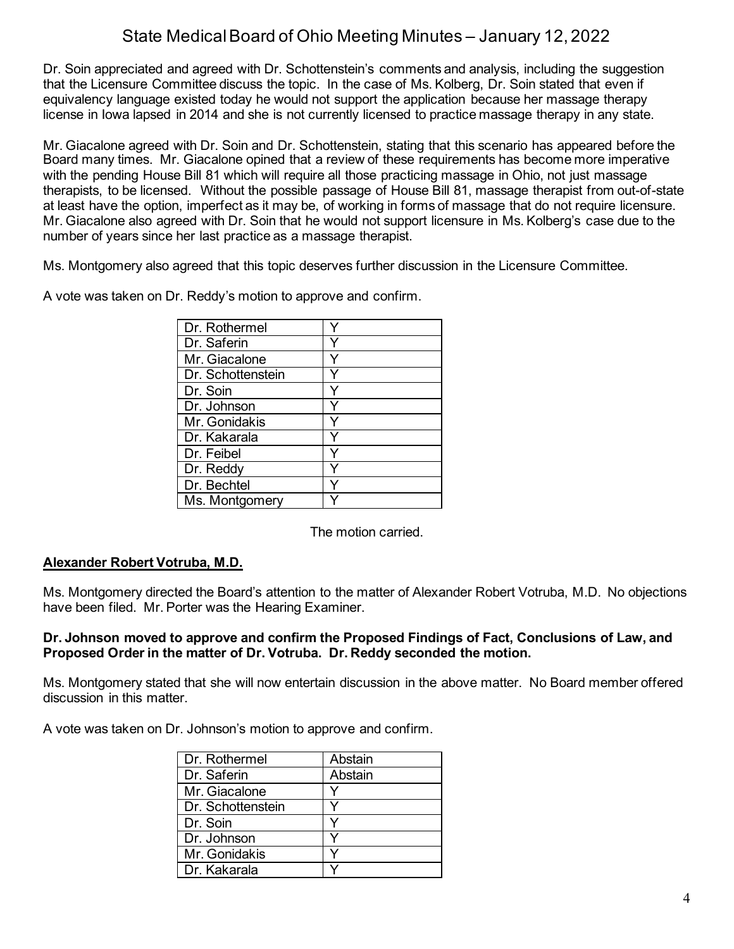Dr. Soin appreciated and agreed with Dr. Schottenstein's comments and analysis, including the suggestion that the Licensure Committee discuss the topic. In the case of Ms. Kolberg, Dr. Soin stated that even if equivalency language existed today he would not support the application because her massage therapy license in Iowa lapsed in 2014 and she is not currently licensed to practice massage therapy in any state.

Mr. Giacalone agreed with Dr. Soin and Dr. Schottenstein, stating that this scenario has appeared before the Board many times. Mr. Giacalone opined that a review of these requirements has become more imperative with the pending House Bill 81 which will require all those practicing massage in Ohio, not just massage therapists, to be licensed. Without the possible passage of House Bill 81, massage therapist from out-of-state at least have the option, imperfect as it may be, of working in forms of massage that do not require licensure. Mr. Giacalone also agreed with Dr. Soin that he would not support licensure in Ms. Kolberg's case due to the number of years since her last practice as a massage therapist.

Ms. Montgomery also agreed that this topic deserves further discussion in the Licensure Committee.

| Dr. Rothermel     |  |
|-------------------|--|
| Dr. Saferin       |  |
| Mr. Giacalone     |  |
| Dr. Schottenstein |  |
| Dr. Soin          |  |
| Dr. Johnson       |  |
| Mr. Gonidakis     |  |
| Dr. Kakarala      |  |
| Dr. Feibel        |  |
| Dr. Reddy         |  |
| Dr. Bechtel       |  |
| Ms. Montgomery    |  |

A vote was taken on Dr. Reddy's motion to approve and confirm.

The motion carried.

### **Alexander Robert Votruba, M.D.**

Ms. Montgomery directed the Board's attention to the matter of Alexander Robert Votruba, M.D. No objections have been filed. Mr. Porter was the Hearing Examiner.

#### **Dr. Johnson moved to approve and confirm the Proposed Findings of Fact, Conclusions of Law, and Proposed Order in the matter of Dr. Votruba. Dr. Reddy seconded the motion.**

Ms. Montgomery stated that she will now entertain discussion in the above matter. No Board member offered discussion in this matter.

A vote was taken on Dr. Johnson's motion to approve and confirm.

| Dr. Rothermel     | Abstain |
|-------------------|---------|
| Dr. Saferin       | Abstain |
| Mr. Giacalone     |         |
| Dr. Schottenstein |         |
| Dr. Soin          |         |
| Dr. Johnson       |         |
| Mr. Gonidakis     |         |
| Dr. Kakarala      |         |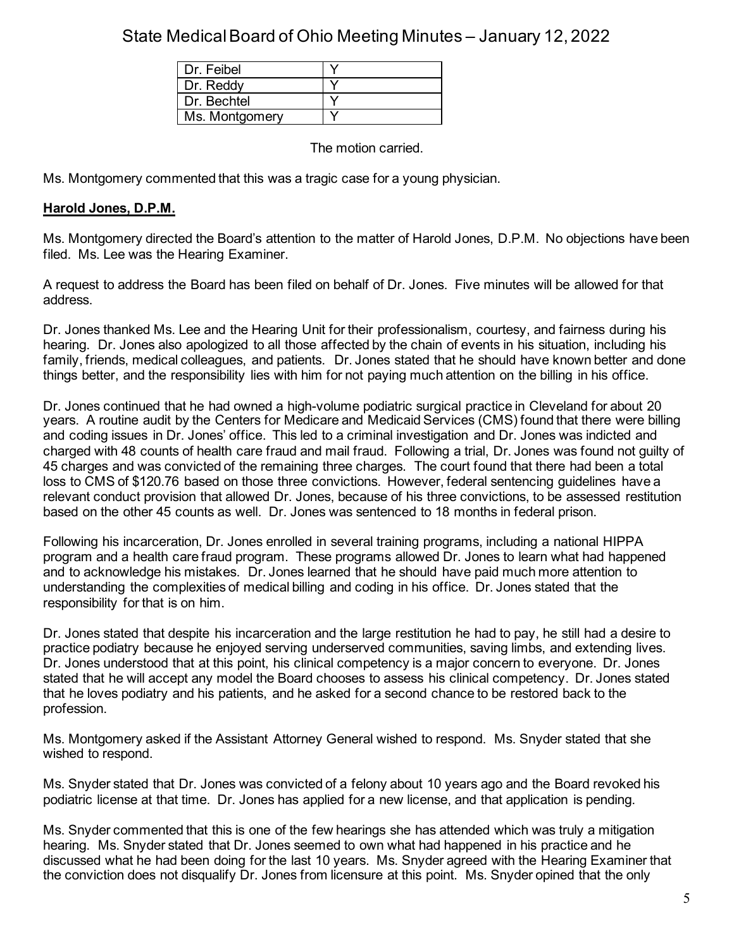| Dr. Feibel     |  |
|----------------|--|
| Dr. Reddy      |  |
| Dr Bechtel     |  |
| Ms. Montgomery |  |

The motion carried.

Ms. Montgomery commented that this was a tragic case for a young physician.

### **Harold Jones, D.P.M.**

Ms. Montgomery directed the Board's attention to the matter of Harold Jones, D.P.M. No objections have been filed. Ms. Lee was the Hearing Examiner.

A request to address the Board has been filed on behalf of Dr. Jones. Five minutes will be allowed for that address.

Dr. Jones thanked Ms. Lee and the Hearing Unit for their professionalism, courtesy, and fairness during his hearing. Dr. Jones also apologized to all those affected by the chain of events in his situation, including his family, friends, medical colleagues, and patients. Dr. Jones stated that he should have known better and done things better, and the responsibility lies with him for not paying much attention on the billing in his office.

Dr. Jones continued that he had owned a high-volume podiatric surgical practice in Cleveland for about 20 years. A routine audit by the Centers for Medicare and Medicaid Services (CMS) found that there were billing and coding issues in Dr. Jones' office. This led to a criminal investigation and Dr. Jones was indicted and charged with 48 counts of health care fraud and mail fraud. Following a trial, Dr. Jones was found not guilty of 45 charges and was convicted of the remaining three charges. The court found that there had been a total loss to CMS of \$120.76 based on those three convictions. However, federal sentencing guidelines have a relevant conduct provision that allowed Dr. Jones, because of his three convictions, to be assessed restitution based on the other 45 counts as well. Dr. Jones was sentenced to 18 months in federal prison.

Following his incarceration, Dr. Jones enrolled in several training programs, including a national HIPPA program and a health care fraud program. These programs allowed Dr. Jones to learn what had happened and to acknowledge his mistakes. Dr. Jones learned that he should have paid much more attention to understanding the complexities of medical billing and coding in his office. Dr. Jones stated that the responsibility for that is on him.

Dr. Jones stated that despite his incarceration and the large restitution he had to pay, he still had a desire to practice podiatry because he enjoyed serving underserved communities, saving limbs, and extending lives. Dr. Jones understood that at this point, his clinical competency is a major concern to everyone. Dr. Jones stated that he will accept any model the Board chooses to assess his clinical competency. Dr. Jones stated that he loves podiatry and his patients, and he asked for a second chance to be restored back to the profession.

Ms. Montgomery asked if the Assistant Attorney General wished to respond. Ms. Snyder stated that she wished to respond.

Ms. Snyder stated that Dr. Jones was convicted of a felony about 10 years ago and the Board revoked his podiatric license at that time. Dr. Jones has applied for a new license, and that application is pending.

Ms. Snyder commented that this is one of the few hearings she has attended which was truly a mitigation hearing. Ms. Snyder stated that Dr. Jones seemed to own what had happened in his practice and he discussed what he had been doing for the last 10 years. Ms. Snyder agreed with the Hearing Examiner that the conviction does not disqualify Dr. Jones from licensure at this point. Ms. Snyder opined that the only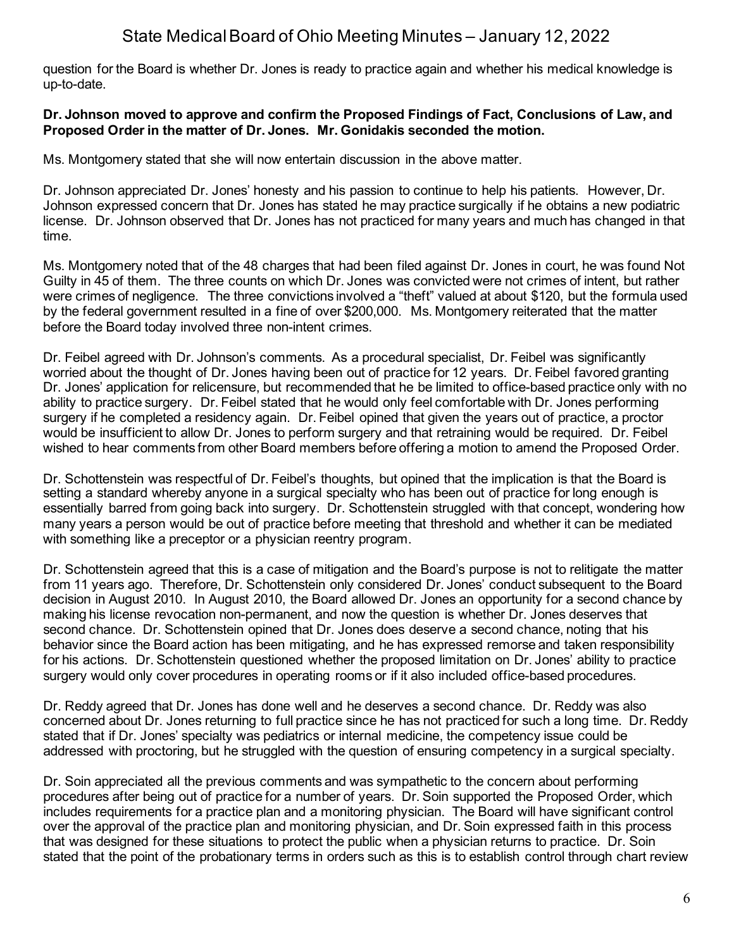question for the Board is whether Dr. Jones is ready to practice again and whether his medical knowledge is up-to-date.

#### **Dr. Johnson moved to approve and confirm the Proposed Findings of Fact, Conclusions of Law, and Proposed Order in the matter of Dr. Jones. Mr. Gonidakis seconded the motion.**

Ms. Montgomery stated that she will now entertain discussion in the above matter.

Dr. Johnson appreciated Dr. Jones' honesty and his passion to continue to help his patients. However, Dr. Johnson expressed concern that Dr. Jones has stated he may practice surgically if he obtains a new podiatric license. Dr. Johnson observed that Dr. Jones has not practiced for many years and much has changed in that time.

Ms. Montgomery noted that of the 48 charges that had been filed against Dr. Jones in court, he was found Not Guilty in 45 of them. The three counts on which Dr. Jones was convicted were not crimes of intent, but rather were crimes of negligence. The three convictions involved a "theft" valued at about \$120, but the formula used by the federal government resulted in a fine of over \$200,000. Ms. Montgomery reiterated that the matter before the Board today involved three non-intent crimes.

Dr. Feibel agreed with Dr. Johnson's comments. As a procedural specialist, Dr. Feibel was significantly worried about the thought of Dr. Jones having been out of practice for 12 years. Dr. Feibel favored granting Dr. Jones' application for relicensure, but recommended that he be limited to office-based practice only with no ability to practice surgery. Dr. Feibel stated that he would only feel comfortable with Dr. Jones performing surgery if he completed a residency again. Dr. Feibel opined that given the years out of practice, a proctor would be insufficient to allow Dr. Jones to perform surgery and that retraining would be required. Dr. Feibel wished to hear comments from other Board members before offering a motion to amend the Proposed Order.

Dr. Schottenstein was respectful of Dr. Feibel's thoughts, but opined that the implication is that the Board is setting a standard whereby anyone in a surgical specialty who has been out of practice for long enough is essentially barred from going back into surgery. Dr. Schottenstein struggled with that concept, wondering how many years a person would be out of practice before meeting that threshold and whether it can be mediated with something like a preceptor or a physician reentry program.

Dr. Schottenstein agreed that this is a case of mitigation and the Board's purpose is not to relitigate the matter from 11 years ago. Therefore, Dr. Schottenstein only considered Dr. Jones' conduct subsequent to the Board decision in August 2010. In August 2010, the Board allowed Dr. Jones an opportunity for a second chance by making his license revocation non-permanent, and now the question is whether Dr. Jones deserves that second chance. Dr. Schottenstein opined that Dr. Jones does deserve a second chance, noting that his behavior since the Board action has been mitigating, and he has expressed remorse and taken responsibility for his actions. Dr. Schottenstein questioned whether the proposed limitation on Dr. Jones' ability to practice surgery would only cover procedures in operating rooms or if it also included office-based procedures.

Dr. Reddy agreed that Dr. Jones has done well and he deserves a second chance. Dr. Reddy was also concerned about Dr. Jones returning to full practice since he has not practiced for such a long time. Dr. Reddy stated that if Dr. Jones' specialty was pediatrics or internal medicine, the competency issue could be addressed with proctoring, but he struggled with the question of ensuring competency in a surgical specialty.

Dr. Soin appreciated all the previous comments and was sympathetic to the concern about performing procedures after being out of practice for a number of years. Dr. Soin supported the Proposed Order, which includes requirements for a practice plan and a monitoring physician. The Board will have significant control over the approval of the practice plan and monitoring physician, and Dr. Soin expressed faith in this process that was designed for these situations to protect the public when a physician returns to practice. Dr. Soin stated that the point of the probationary terms in orders such as this is to establish control through chart review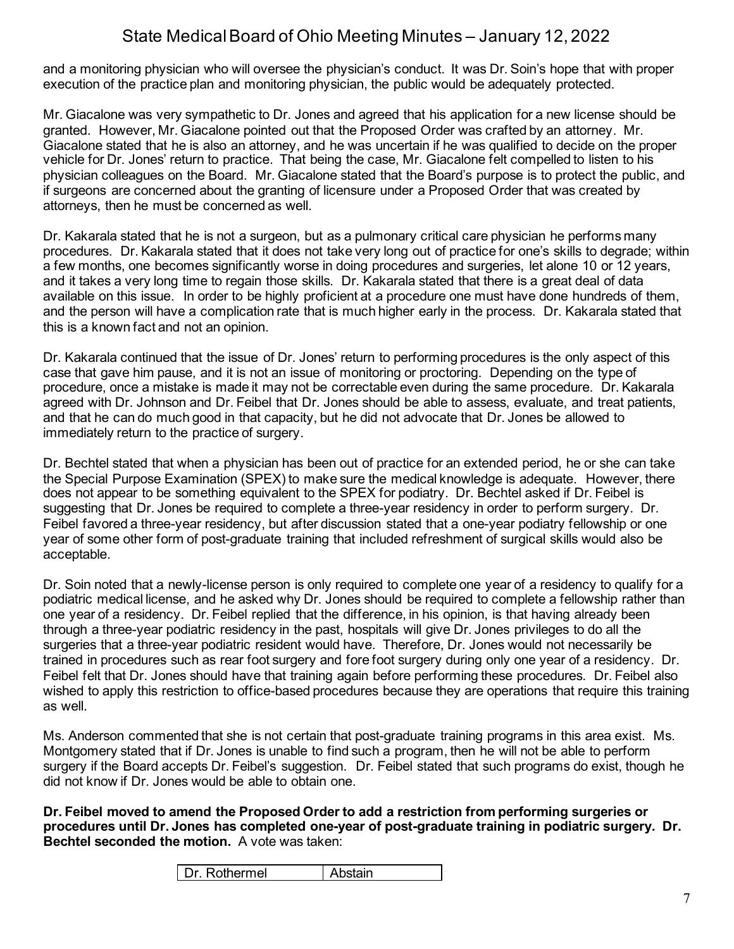and a monitoring physician who will oversee the physician's conduct. It was Dr. Soin's hope that with proper execution of the practice plan and monitoring physician, the public would be adequately protected.

Mr. Giacalone was very sympathetic to Dr. Jones and agreed that his application for a new license should be granted. However, Mr. Giacalone pointed out that the Proposed Order was crafted by an attorney. Mr. Giacalone stated that he is also an attorney, and he was uncertain if he was qualified to decide on the proper vehicle for Dr. Jones' return to practice. That being the case, Mr. Giacalone felt compelled to listen to his physician colleagues on the Board. Mr. Giacalone stated that the Board's purpose is to protect the public, and if surgeons are concerned about the granting of licensure under a Proposed Order that was created by attorneys, then he must be concerned as well.

Dr. Kakarala stated that he is not a surgeon, but as a pulmonary critical care physician he performs many procedures. Dr. Kakarala stated that it does not take very long out of practice for one's skills to degrade; within a few months, one becomes significantly worse in doing procedures and surgeries, let alone 10 or 12 years, and it takes a very long time to regain those skills. Dr. Kakarala stated that there is a great deal of data available on this issue. In order to be highly proficient at a procedure one must have done hundreds of them, and the person will have a complication rate that is much higher early in the process. Dr. Kakarala stated that this is a known fact and not an opinion.

Dr. Kakarala continued that the issue of Dr. Jones' return to performing procedures is the only aspect of this case that gave him pause, and it is not an issue of monitoring or proctoring. Depending on the type of procedure, once a mistake is made it may not be correctable even during the same procedure. Dr. Kakarala agreed with Dr. Johnson and Dr. Feibel that Dr. Jones should be able to assess, evaluate, and treat patients, and that he can do much good in that capacity, but he did not advocate that Dr. Jones be allowed to immediately return to the practice of surgery.

Dr. Bechtel stated that when a physician has been out of practice for an extended period, he or she can take the Special Purpose Examination (SPEX) to make sure the medical knowledge is adequate. However, there does not appear to be something equivalent to the SPEX for podiatry. Dr. Bechtel asked if Dr. Feibel is suggesting that Dr. Jones be required to complete a three-year residency in order to perform surgery. Dr. Feibel favored a three-year residency, but after discussion stated that a one-year podiatry fellowship or one year of some other form of post-graduate training that included refreshment of surgical skills would also be acceptable.

Dr. Soin noted that a newly-license person is only required to complete one year of a residency to qualify for a podiatric medical license, and he asked why Dr. Jones should be required to complete a fellowship rather than one year of a residency. Dr. Feibel replied that the difference, in his opinion, is that having already been through a three-year podiatric residency in the past, hospitals will give Dr. Jones privileges to do all the surgeries that a three-year podiatric resident would have. Therefore, Dr. Jones would not necessarily be trained in procedures such as rear foot surgery and fore foot surgery during only one year of a residency. Dr. Feibel felt that Dr. Jones should have that training again before performing these procedures. Dr. Feibel also wished to apply this restriction to office-based procedures because they are operations that require this training as well.

Ms. Anderson commented that she is not certain that post-graduate training programs in this area exist. Ms. Montgomery stated that if Dr. Jones is unable to find such a program, then he will not be able to perform surgery if the Board accepts Dr. Feibel's suggestion. Dr. Feibel stated that such programs do exist, though he did not know if Dr. Jones would be able to obtain one.

**Dr. Feibel moved to amend the Proposed Order to add a restriction from performing surgeries or procedures until Dr. Jones has completed one-year of post-graduate training in podiatric surgery. Dr. Bechtel seconded the motion.** A vote was taken: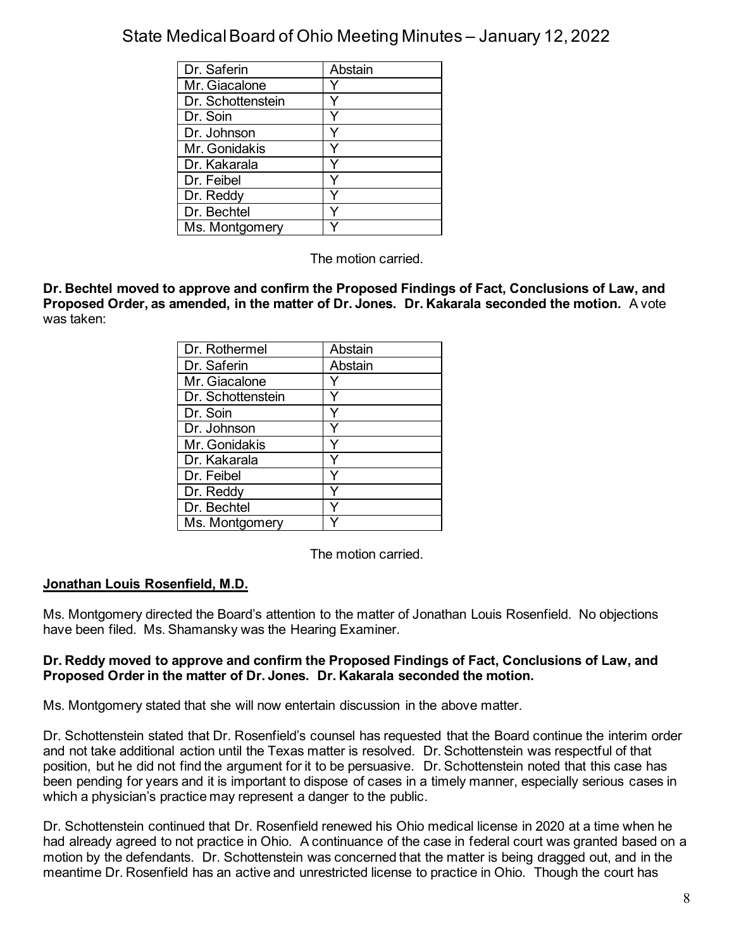| Dr. Saferin       | Abstain |
|-------------------|---------|
| Mr. Giacalone     |         |
| Dr. Schottenstein |         |
| Dr. Soin          |         |
| Dr. Johnson       |         |
| Mr. Gonidakis     |         |
| Dr. Kakarala      |         |
| Dr. Feibel        |         |
| Dr. Reddy         |         |
| Dr. Bechtel       |         |
| Ms. Montgomery    |         |

The motion carried.

**Dr. Bechtel moved to approve and confirm the Proposed Findings of Fact, Conclusions of Law, and Proposed Order, as amended, in the matter of Dr. Jones. Dr. Kakarala seconded the motion.** A vote was taken:

| Dr. Rothermel     | Abstain |
|-------------------|---------|
| Dr. Saferin       | Abstain |
| Mr. Giacalone     |         |
| Dr. Schottenstein |         |
| Dr. Soin          |         |
| Dr. Johnson       |         |
| Mr. Gonidakis     |         |
| Dr. Kakarala      |         |
| Dr. Feibel        |         |
| Dr. Reddy         |         |
| Dr. Bechtel       |         |
| Ms. Montgomery    |         |

The motion carried.

### **Jonathan Louis Rosenfield, M.D.**

Ms. Montgomery directed the Board's attention to the matter of Jonathan Louis Rosenfield. No objections have been filed. Ms. Shamansky was the Hearing Examiner.

#### **Dr. Reddy moved to approve and confirm the Proposed Findings of Fact, Conclusions of Law, and Proposed Order in the matter of Dr. Jones. Dr. Kakarala seconded the motion.**

Ms. Montgomery stated that she will now entertain discussion in the above matter.

Dr. Schottenstein stated that Dr. Rosenfield's counsel has requested that the Board continue the interim order and not take additional action until the Texas matter is resolved. Dr. Schottenstein was respectful of that position, but he did not find the argument for it to be persuasive. Dr. Schottenstein noted that this case has been pending for years and it is important to dispose of cases in a timely manner, especially serious cases in which a physician's practice may represent a danger to the public.

Dr. Schottenstein continued that Dr. Rosenfield renewed his Ohio medical license in 2020 at a time when he had already agreed to not practice in Ohio. A continuance of the case in federal court was granted based on a motion by the defendants. Dr. Schottenstein was concerned that the matter is being dragged out, and in the meantime Dr. Rosenfield has an active and unrestricted license to practice in Ohio. Though the court has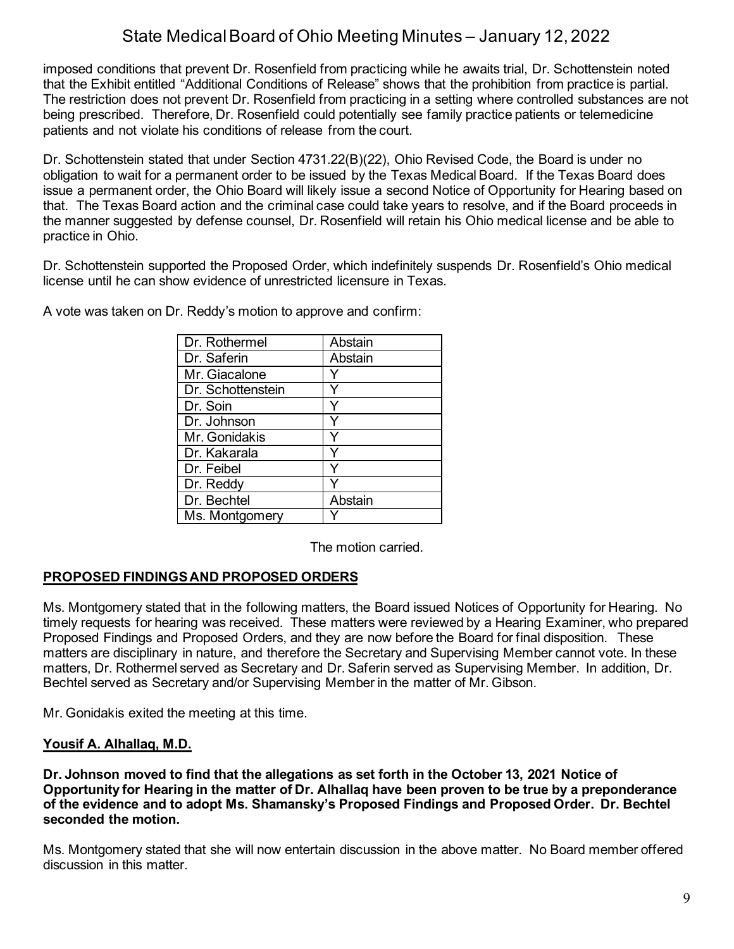imposed conditions that prevent Dr. Rosenfield from practicing while he awaits trial, Dr. Schottenstein noted that the Exhibit entitled "Additional Conditions of Release" shows that the prohibition from practice is partial. The restriction does not prevent Dr. Rosenfield from practicing in a setting where controlled substances are not being prescribed. Therefore, Dr. Rosenfield could potentially see family practice patients or telemedicine patients and not violate his conditions of release from the court.

Dr. Schottenstein stated that under Section 4731.22(B)(22), Ohio Revised Code, the Board is under no obligation to wait for a permanent order to be issued by the Texas Medical Board. If the Texas Board does issue a permanent order, the Ohio Board will likely issue a second Notice of Opportunity for Hearing based on that. The Texas Board action and the criminal case could take years to resolve, and if the Board proceeds in the manner suggested by defense counsel, Dr. Rosenfield will retain his Ohio medical license and be able to practice in Ohio.

Dr. Schottenstein supported the Proposed Order, which indefinitely suspends Dr. Rosenfield's Ohio medical license until he can show evidence of unrestricted licensure in Texas.

| Dr. Rothermel     | Abstain |
|-------------------|---------|
| Dr. Saferin       | Abstain |
| Mr. Giacalone     |         |
| Dr. Schottenstein |         |
| Dr. Soin          |         |
| Dr. Johnson       |         |
| Mr. Gonidakis     |         |
| Dr. Kakarala      |         |
| Dr. Feibel        |         |
| Dr. Reddy         |         |
| Dr. Bechtel       | Abstain |
| Ms. Montgomery    |         |

A vote was taken on Dr. Reddy's motion to approve and confirm:

The motion carried.

## **PROPOSED FINDINGS AND PROPOSED ORDERS**

Ms. Montgomery stated that in the following matters, the Board issued Notices of Opportunity for Hearing. No timely requests for hearing was received. These matters were reviewed by a Hearing Examiner, who prepared Proposed Findings and Proposed Orders, and they are now before the Board for final disposition. These matters are disciplinary in nature, and therefore the Secretary and Supervising Member cannot vote. In these matters, Dr. Rothermel served as Secretary and Dr. Saferin served as Supervising Member. In addition, Dr. Bechtel served as Secretary and/or Supervising Member in the matter of Mr. Gibson.

Mr. Gonidakis exited the meeting at this time.

### **Yousif A. Alhallaq, M.D.**

**Dr. Johnson moved to find that the allegations as set forth in the October 13, 2021 Notice of Opportunity for Hearing in the matter of Dr. Alhallaq have been proven to be true by a preponderance of the evidence and to adopt Ms. Shamansky's Proposed Findings and Proposed Order. Dr. Bechtel seconded the motion.**

Ms. Montgomery stated that she will now entertain discussion in the above matter. No Board member offered discussion in this matter.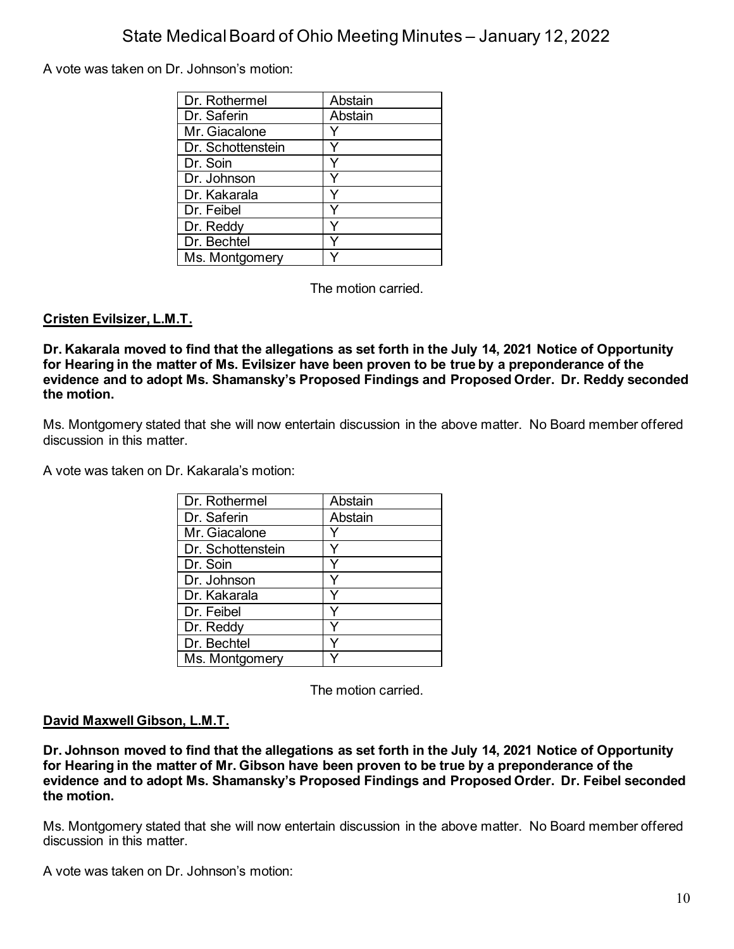A vote was taken on Dr. Johnson's motion:

| Dr. Rothermel     | Abstain |
|-------------------|---------|
| Dr. Saferin       | Abstain |
| Mr. Giacalone     |         |
| Dr. Schottenstein |         |
| Dr. Soin          |         |
| Dr. Johnson       |         |
| Dr. Kakarala      |         |
| Dr. Feibel        |         |
| Dr. Reddy         |         |
| Dr. Bechtel       |         |
| Ms. Montgomery    |         |

The motion carried.

## **Cristen Evilsizer, L.M.T.**

**Dr. Kakarala moved to find that the allegations as set forth in the July 14, 2021 Notice of Opportunity for Hearing in the matter of Ms. Evilsizer have been proven to be true by a preponderance of the evidence and to adopt Ms. Shamansky's Proposed Findings and Proposed Order. Dr. Reddy seconded the motion.**

Ms. Montgomery stated that she will now entertain discussion in the above matter. No Board member offered discussion in this matter.

A vote was taken on Dr. Kakarala's motion:

| Dr. Rothermel     | Abstain |
|-------------------|---------|
| Dr. Saferin       | Abstain |
| Mr. Giacalone     |         |
| Dr. Schottenstein |         |
| Dr. Soin          |         |
| Dr. Johnson       |         |
| Dr. Kakarala      |         |
| Dr. Feibel        |         |
| Dr. Reddy         |         |
| Dr. Bechtel       |         |
| Ms. Montgomery    |         |

The motion carried.

### **David Maxwell Gibson, L.M.T.**

**Dr. Johnson moved to find that the allegations as set forth in the July 14, 2021 Notice of Opportunity for Hearing in the matter of Mr. Gibson have been proven to be true by a preponderance of the evidence and to adopt Ms. Shamansky's Proposed Findings and Proposed Order. Dr. Feibel seconded the motion.**

Ms. Montgomery stated that she will now entertain discussion in the above matter. No Board member offered discussion in this matter.

A vote was taken on Dr. Johnson's motion: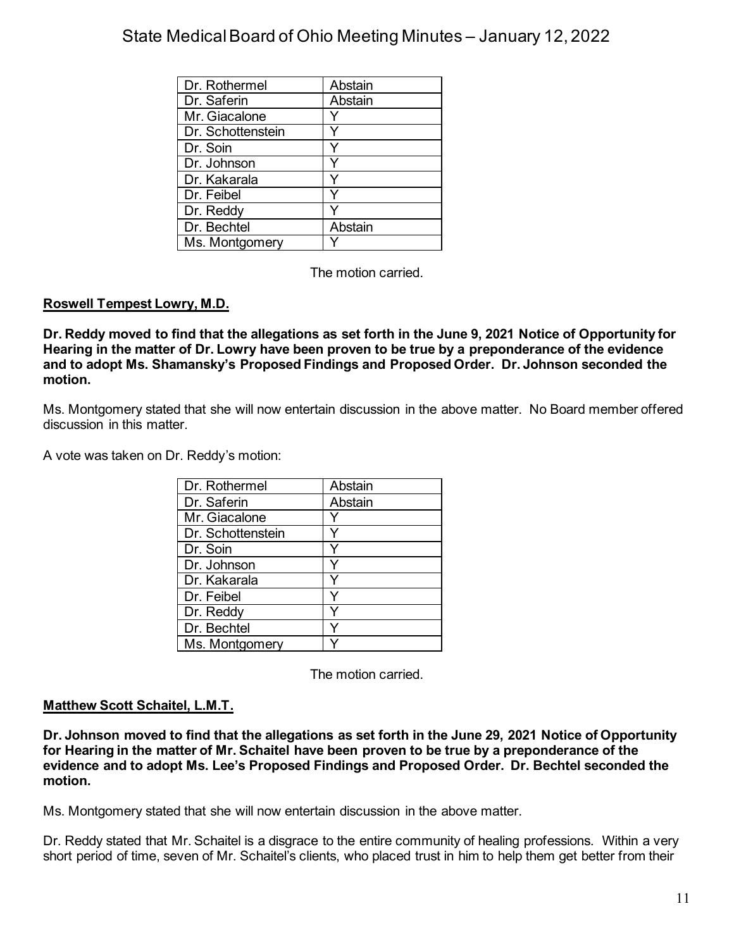| Dr. Rothermel     | Abstain |
|-------------------|---------|
| Dr. Saferin       | Abstain |
| Mr. Giacalone     |         |
| Dr. Schottenstein |         |
| Dr. Soin          |         |
| Dr. Johnson       |         |
| Dr. Kakarala      |         |
| Dr. Feibel        |         |
| Dr. Reddy         |         |
| Dr. Bechtel       | Abstain |
| Ms. Montgomery    |         |

The motion carried.

## **Roswell Tempest Lowry, M.D.**

**Dr. Reddy moved to find that the allegations as set forth in the June 9, 2021 Notice of Opportunity for Hearing in the matter of Dr. Lowry have been proven to be true by a preponderance of the evidence and to adopt Ms. Shamansky's Proposed Findings and Proposed Order. Dr. Johnson seconded the motion.**

Ms. Montgomery stated that she will now entertain discussion in the above matter. No Board member offered discussion in this matter.

A vote was taken on Dr. Reddy's motion:

| Dr. Rothermel     | Abstain |
|-------------------|---------|
| Dr. Saferin       | Abstain |
| Mr. Giacalone     |         |
| Dr. Schottenstein |         |
| Dr. Soin          |         |
| Dr. Johnson       |         |
| Dr. Kakarala      |         |
| Dr. Feibel        |         |
| Dr. Reddy         |         |
| Dr. Bechtel       |         |
| Ms. Montgomery    |         |

The motion carried.

### **Matthew Scott Schaitel, L.M.T.**

**Dr. Johnson moved to find that the allegations as set forth in the June 29, 2021 Notice of Opportunity for Hearing in the matter of Mr. Schaitel have been proven to be true by a preponderance of the evidence and to adopt Ms. Lee's Proposed Findings and Proposed Order. Dr. Bechtel seconded the motion.**

Ms. Montgomery stated that she will now entertain discussion in the above matter.

Dr. Reddy stated that Mr. Schaitel is a disgrace to the entire community of healing professions. Within a very short period of time, seven of Mr. Schaitel's clients, who placed trust in him to help them get better from their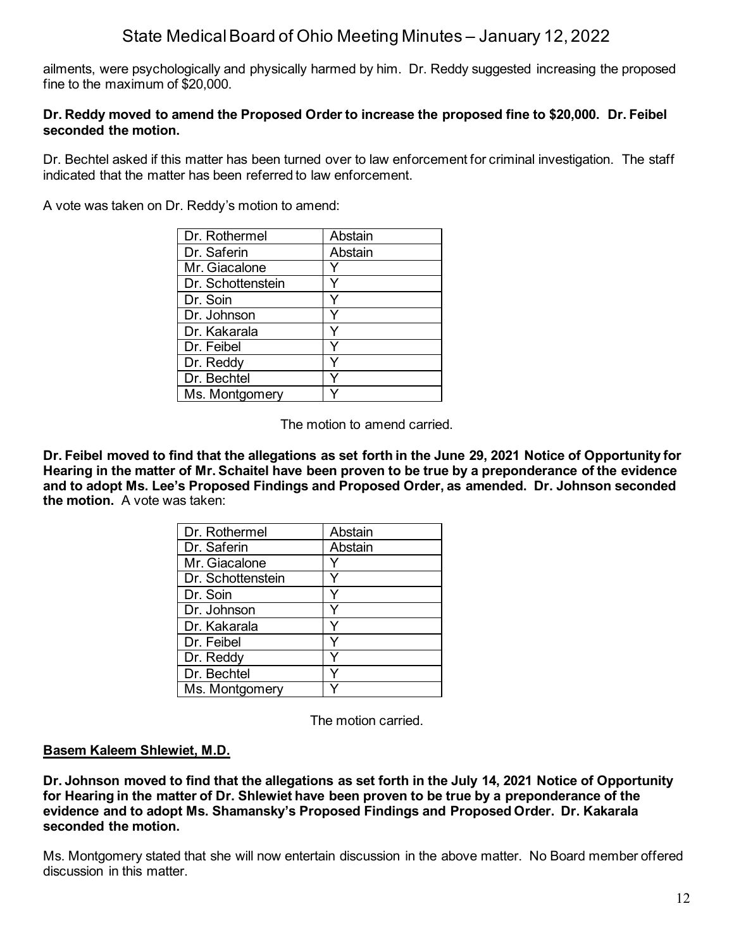ailments, were psychologically and physically harmed by him. Dr. Reddy suggested increasing the proposed fine to the maximum of \$20,000.

#### **Dr. Reddy moved to amend the Proposed Order to increase the proposed fine to \$20,000. Dr. Feibel seconded the motion.**

Dr. Bechtel asked if this matter has been turned over to law enforcement for criminal investigation. The staff indicated that the matter has been referred to law enforcement.

A vote was taken on Dr. Reddy's motion to amend:

| Dr. Rothermel     | Abstain |
|-------------------|---------|
| Dr. Saferin       | Abstain |
| Mr. Giacalone     |         |
| Dr. Schottenstein |         |
| Dr. Soin          | Y       |
| Dr. Johnson       |         |
| Dr. Kakarala      |         |
| Dr. Feibel        | ٧       |
| Dr. Reddy         |         |
| Dr. Bechtel       |         |
| Ms. Montgomery    |         |

The motion to amend carried.

**Dr. Feibel moved to find that the allegations as set forth in the June 29, 2021 Notice of Opportunity for Hearing in the matter of Mr. Schaitel have been proven to be true by a preponderance of the evidence and to adopt Ms. Lee's Proposed Findings and Proposed Order, as amended. Dr. Johnson seconded the motion.** A vote was taken:

| Dr. Rothermel     | Abstain |
|-------------------|---------|
| Dr. Saferin       | Abstain |
| Mr. Giacalone     |         |
| Dr. Schottenstein |         |
| Dr. Soin          |         |
| Dr. Johnson       |         |
| Dr. Kakarala      |         |
| Dr. Feibel        |         |
| Dr. Reddy         |         |
| Dr. Bechtel       |         |
| Ms. Montgomery    |         |

The motion carried.

#### **Basem Kaleem Shlewiet, M.D.**

**Dr. Johnson moved to find that the allegations as set forth in the July 14, 2021 Notice of Opportunity for Hearing in the matter of Dr. Shlewiet have been proven to be true by a preponderance of the evidence and to adopt Ms. Shamansky's Proposed Findings and Proposed Order. Dr. Kakarala seconded the motion.**

Ms. Montgomery stated that she will now entertain discussion in the above matter. No Board member offered discussion in this matter.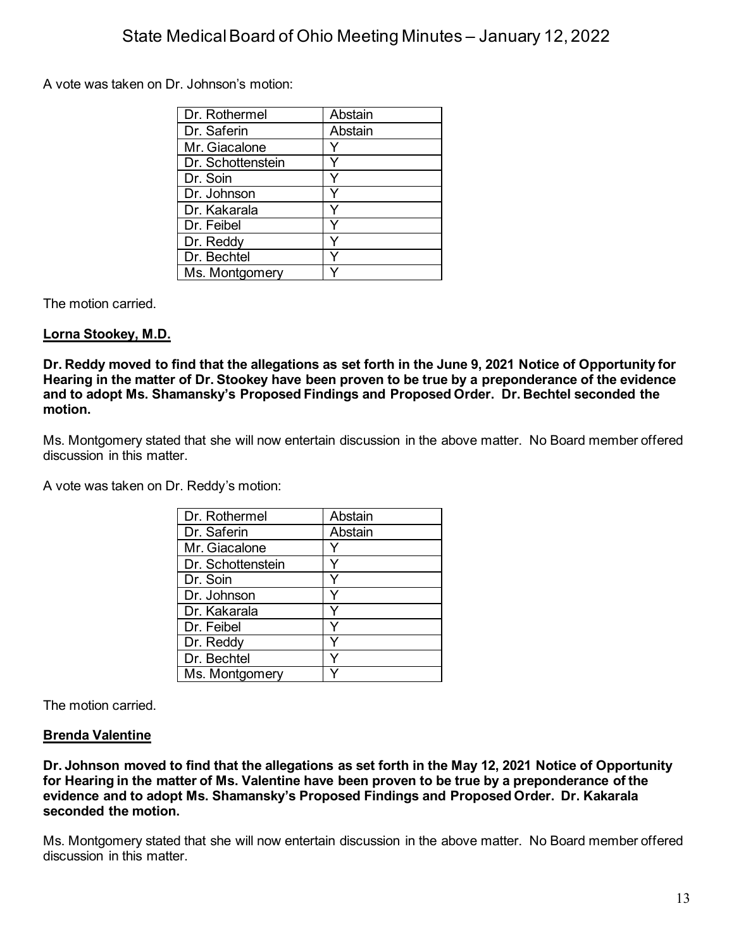A vote was taken on Dr. Johnson's motion:

| Dr. Rothermel     | Abstain |
|-------------------|---------|
| Dr. Saferin       | Abstain |
| Mr. Giacalone     |         |
| Dr. Schottenstein |         |
| Dr. Soin          |         |
| Dr. Johnson       |         |
| Dr. Kakarala      |         |
| Dr. Feibel        |         |
| Dr. Reddy         |         |
| Dr. Bechtel       |         |
| Ms. Montgomery    |         |

The motion carried.

## **Lorna Stookey, M.D.**

**Dr. Reddy moved to find that the allegations as set forth in the June 9, 2021 Notice of Opportunity for Hearing in the matter of Dr. Stookey have been proven to be true by a preponderance of the evidence and to adopt Ms. Shamansky's Proposed Findings and Proposed Order. Dr. Bechtel seconded the motion.**

Ms. Montgomery stated that she will now entertain discussion in the above matter. No Board member offered discussion in this matter.

A vote was taken on Dr. Reddy's motion:

| Dr. Rothermel     | Abstain |
|-------------------|---------|
| Dr. Saferin       | Abstain |
| Mr. Giacalone     |         |
| Dr. Schottenstein |         |
| Dr. Soin          |         |
| Dr. Johnson       |         |
| Dr. Kakarala      |         |
| Dr. Feibel        |         |
| Dr. Reddy         |         |
| Dr. Bechtel       |         |
| Ms. Montgomery    |         |

The motion carried.

### **Brenda Valentine**

**Dr. Johnson moved to find that the allegations as set forth in the May 12, 2021 Notice of Opportunity for Hearing in the matter of Ms. Valentine have been proven to be true by a preponderance of the evidence and to adopt Ms. Shamansky's Proposed Findings and Proposed Order. Dr. Kakarala seconded the motion.**

Ms. Montgomery stated that she will now entertain discussion in the above matter. No Board member offered discussion in this matter.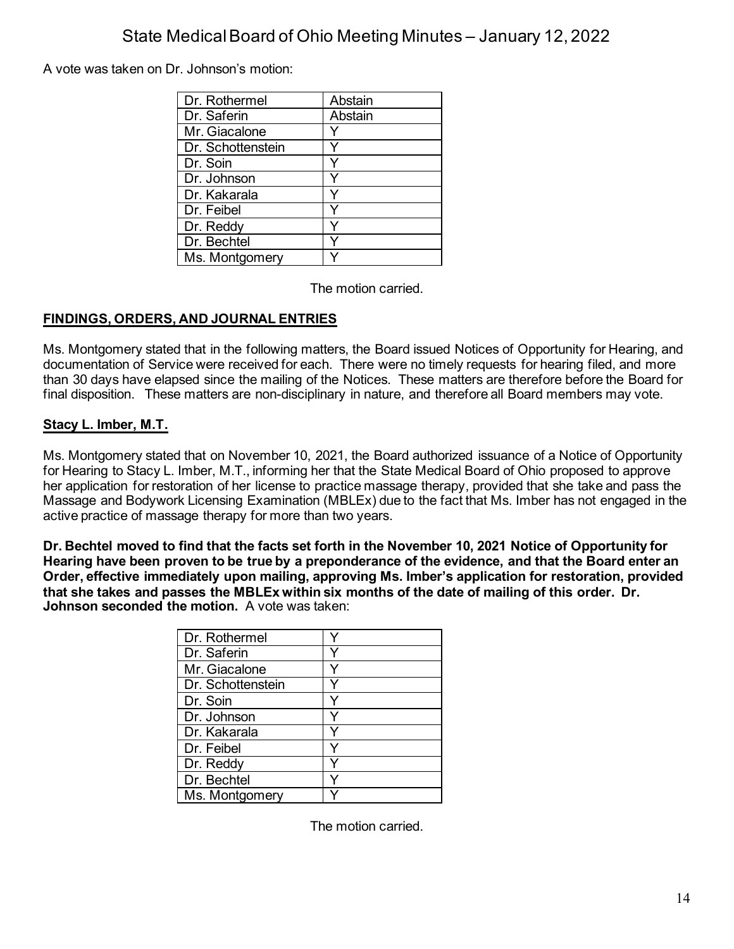A vote was taken on Dr. Johnson's motion:

| Dr. Rothermel     | Abstain |
|-------------------|---------|
| Dr. Saferin       | Abstain |
| Mr. Giacalone     |         |
| Dr. Schottenstein |         |
| Dr. Soin          |         |
| Dr. Johnson       |         |
| Dr. Kakarala      |         |
| Dr. Feibel        |         |
| Dr. Reddy         |         |
| Dr. Bechtel       |         |
| Ms. Montgomery    |         |

The motion carried.

## **FINDINGS, ORDERS, AND JOURNAL ENTRIES**

Ms. Montgomery stated that in the following matters, the Board issued Notices of Opportunity for Hearing, and documentation of Service were received for each. There were no timely requests for hearing filed, and more than 30 days have elapsed since the mailing of the Notices. These matters are therefore before the Board for final disposition. These matters are non-disciplinary in nature, and therefore all Board members may vote.

## **Stacy L. Imber, M.T.**

Ms. Montgomery stated that on November 10, 2021, the Board authorized issuance of a Notice of Opportunity for Hearing to Stacy L. Imber, M.T., informing her that the State Medical Board of Ohio proposed to approve her application for restoration of her license to practice massage therapy, provided that she take and pass the Massage and Bodywork Licensing Examination (MBLEx) due to the fact that Ms. Imber has not engaged in the active practice of massage therapy for more than two years.

**Dr. Bechtel moved to find that the facts set forth in the November 10, 2021 Notice of Opportunity for Hearing have been proven to be true by a preponderance of the evidence, and that the Board enter an Order, effective immediately upon mailing, approving Ms. Imber's application for restoration, provided that she takes and passes the MBLEx within six months of the date of mailing of this order. Dr. Johnson seconded the motion.** A vote was taken:

| Dr. Rothermel     |  |
|-------------------|--|
| Dr. Saferin       |  |
| Mr. Giacalone     |  |
| Dr. Schottenstein |  |
| Dr. Soin          |  |
| Dr. Johnson       |  |
| Dr. Kakarala      |  |
| Dr. Feibel        |  |
| Dr. Reddy         |  |
| Dr. Bechtel       |  |
| Ms. Montgomery    |  |

The motion carried.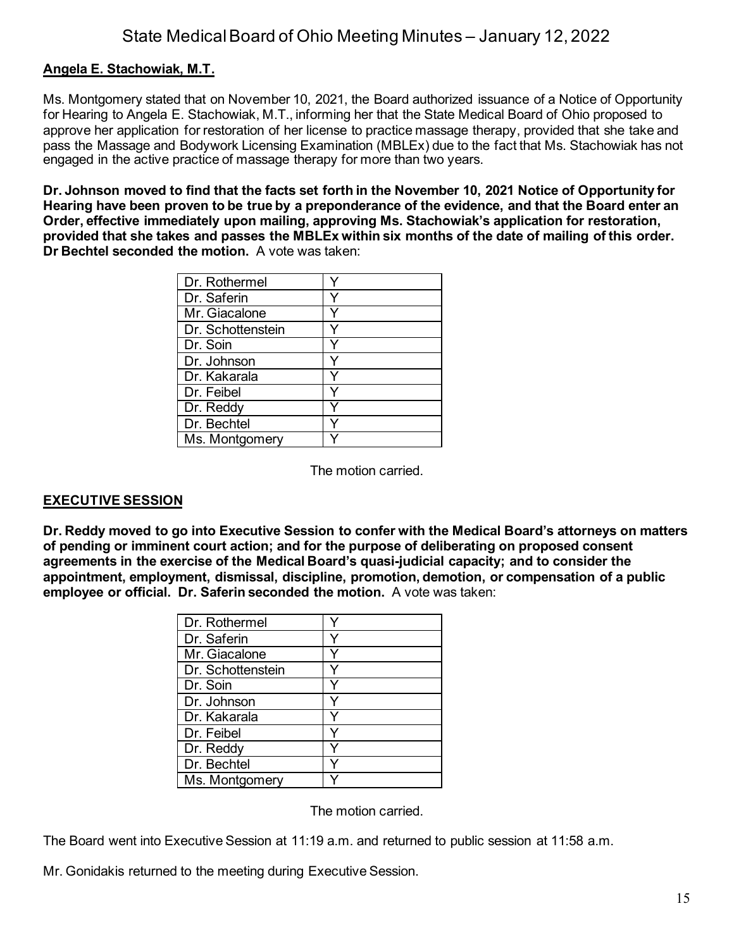## **Angela E. Stachowiak, M.T.**

Ms. Montgomery stated that on November 10, 2021, the Board authorized issuance of a Notice of Opportunity for Hearing to Angela E. Stachowiak, M.T., informing her that the State Medical Board of Ohio proposed to approve her application for restoration of her license to practice massage therapy, provided that she take and pass the Massage and Bodywork Licensing Examination (MBLEx) due to the fact that Ms. Stachowiak has not engaged in the active practice of massage therapy for more than two years.

**Dr. Johnson moved to find that the facts set forth in the November 10, 2021 Notice of Opportunity for Hearing have been proven to be true by a preponderance of the evidence, and that the Board enter an Order, effective immediately upon mailing, approving Ms. Stachowiak's application for restoration, provided that she takes and passes the MBLEx within six months of the date of mailing of this order. Dr Bechtel seconded the motion.** A vote was taken:

| Dr. Rothermel     |  |
|-------------------|--|
| Dr. Saferin       |  |
| Mr. Giacalone     |  |
| Dr. Schottenstein |  |
| Dr. Soin          |  |
| Dr. Johnson       |  |
| Dr. Kakarala      |  |
| Dr. Feibel        |  |
| Dr. Reddy         |  |
| Dr. Bechtel       |  |
| Ms. Montgomery    |  |

The motion carried.

### **EXECUTIVE SESSION**

**Dr. Reddy moved to go into Executive Session to confer with the Medical Board's attorneys on matters of pending or imminent court action; and for the purpose of deliberating on proposed consent agreements in the exercise of the Medical Board's quasi-judicial capacity; and to consider the appointment, employment, dismissal, discipline, promotion, demotion, or compensation of a public employee or official. Dr. Saferin seconded the motion.** A vote was taken:

| Dr. Rothermel     |  |
|-------------------|--|
| Dr. Saferin       |  |
| Mr. Giacalone     |  |
| Dr. Schottenstein |  |
| Dr. Soin          |  |
| Dr. Johnson       |  |
| Dr. Kakarala      |  |
| Dr. Feibel        |  |
| Dr. Reddy         |  |
| Dr. Bechtel       |  |
| Ms. Montgomery    |  |

The motion carried.

The Board went into Executive Session at 11:19 a.m. and returned to public session at 11:58 a.m.

Mr. Gonidakis returned to the meeting during Executive Session.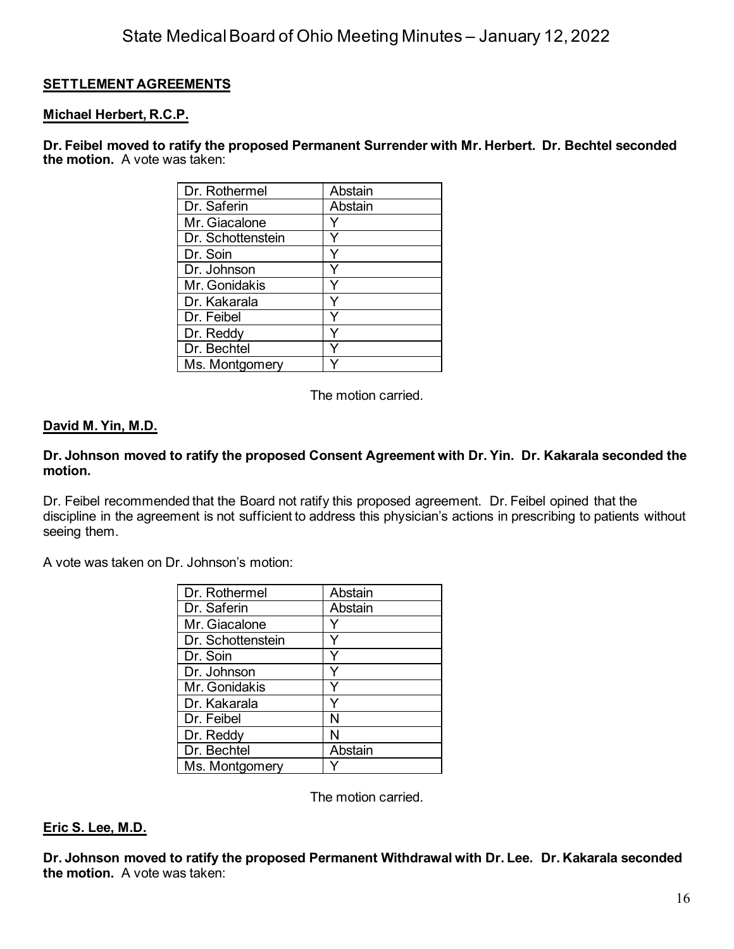## **SETTLEMENT AGREEMENTS**

#### **Michael Herbert, R.C.P.**

**Dr. Feibel moved to ratify the proposed Permanent Surrender with Mr. Herbert. Dr. Bechtel seconded the motion.** A vote was taken:

| Dr. Rothermel     | Abstain |
|-------------------|---------|
| Dr. Saferin       | Abstain |
| Mr. Giacalone     |         |
| Dr. Schottenstein |         |
| Dr. Soin          |         |
| Dr. Johnson       |         |
| Mr. Gonidakis     |         |
| Dr. Kakarala      |         |
| Dr. Feibel        |         |
| Dr. Reddy         |         |
| Dr. Bechtel       |         |
| Ms. Montgomery    |         |

The motion carried.

#### **David M. Yin, M.D.**

#### **Dr. Johnson moved to ratify the proposed Consent Agreement with Dr. Yin. Dr. Kakarala seconded the motion.**

Dr. Feibel recommended that the Board not ratify this proposed agreement. Dr. Feibel opined that the discipline in the agreement is not sufficient to address this physician's actions in prescribing to patients without seeing them.

A vote was taken on Dr. Johnson's motion:

| Dr. Rothermel     | Abstain |
|-------------------|---------|
| Dr. Saferin       | Abstain |
| Mr. Giacalone     |         |
| Dr. Schottenstein |         |
| Dr. Soin          |         |
| Dr. Johnson       |         |
| Mr. Gonidakis     |         |
| Dr. Kakarala      |         |
| Dr. Feibel        | N       |
| Dr. Reddy         | N       |
| Dr. Bechtel       | Abstain |
| Ms. Montgomery    |         |

The motion carried.

#### **Eric S. Lee, M.D.**

**Dr. Johnson moved to ratify the proposed Permanent Withdrawal with Dr. Lee. Dr. Kakarala seconded the motion.** A vote was taken: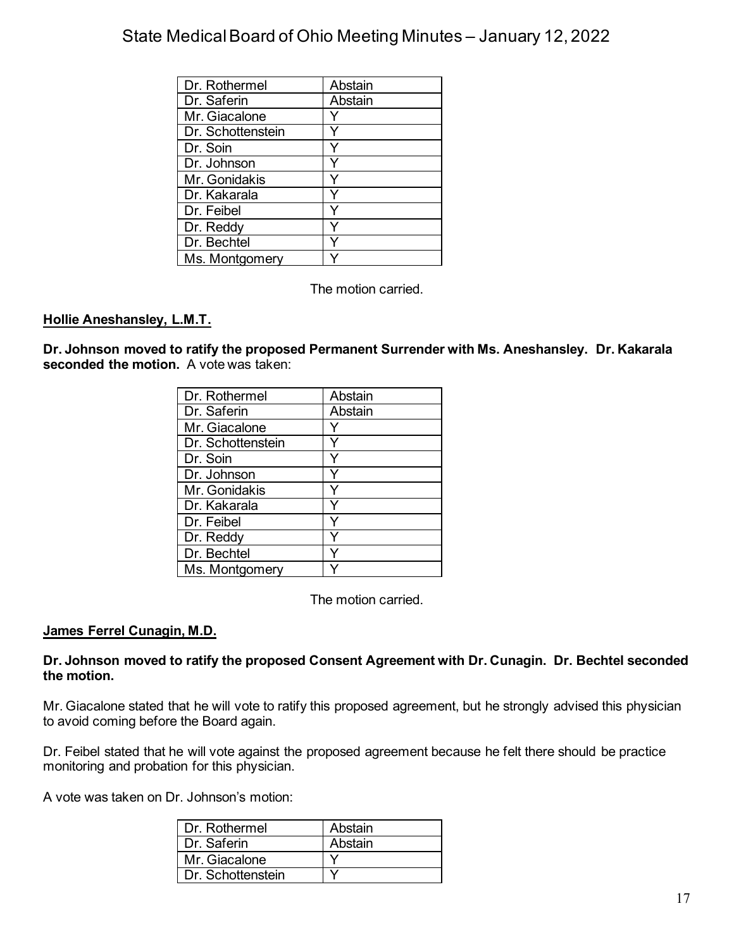| Dr. Rothermel     | Abstain |
|-------------------|---------|
| Dr. Saferin       | Abstain |
| Mr. Giacalone     |         |
| Dr. Schottenstein |         |
| Dr. Soin          |         |
| Dr. Johnson       |         |
| Mr. Gonidakis     |         |
| Dr. Kakarala      |         |
| Dr. Feibel        |         |
| Dr. Reddy         |         |
| Dr. Bechtel       |         |
| Ms. Montgomery    |         |

The motion carried.

### **Hollie Aneshansley, L.M.T.**

**Dr. Johnson moved to ratify the proposed Permanent Surrender with Ms. Aneshansley. Dr. Kakarala seconded the motion.** A vote was taken:

| Dr. Rothermel     | Abstain |
|-------------------|---------|
| Dr. Saferin       | Abstain |
| Mr. Giacalone     |         |
| Dr. Schottenstein |         |
| Dr. Soin          |         |
| Dr. Johnson       |         |
| Mr. Gonidakis     |         |
| Dr. Kakarala      |         |
| Dr. Feibel        |         |
| Dr. Reddy         |         |
| Dr. Bechtel       |         |
| Ms. Montgomery    |         |

The motion carried.

### **James Ferrel Cunagin, M.D.**

#### **Dr. Johnson moved to ratify the proposed Consent Agreement with Dr. Cunagin. Dr. Bechtel seconded the motion.**

Mr. Giacalone stated that he will vote to ratify this proposed agreement, but he strongly advised this physician to avoid coming before the Board again.

Dr. Feibel stated that he will vote against the proposed agreement because he felt there should be practice monitoring and probation for this physician.

A vote was taken on Dr. Johnson's motion:

| I Dr. Rothermel   | Abstain |
|-------------------|---------|
| Dr. Saferin       | Abstain |
| Mr. Giacalone     |         |
| Dr. Schottenstein |         |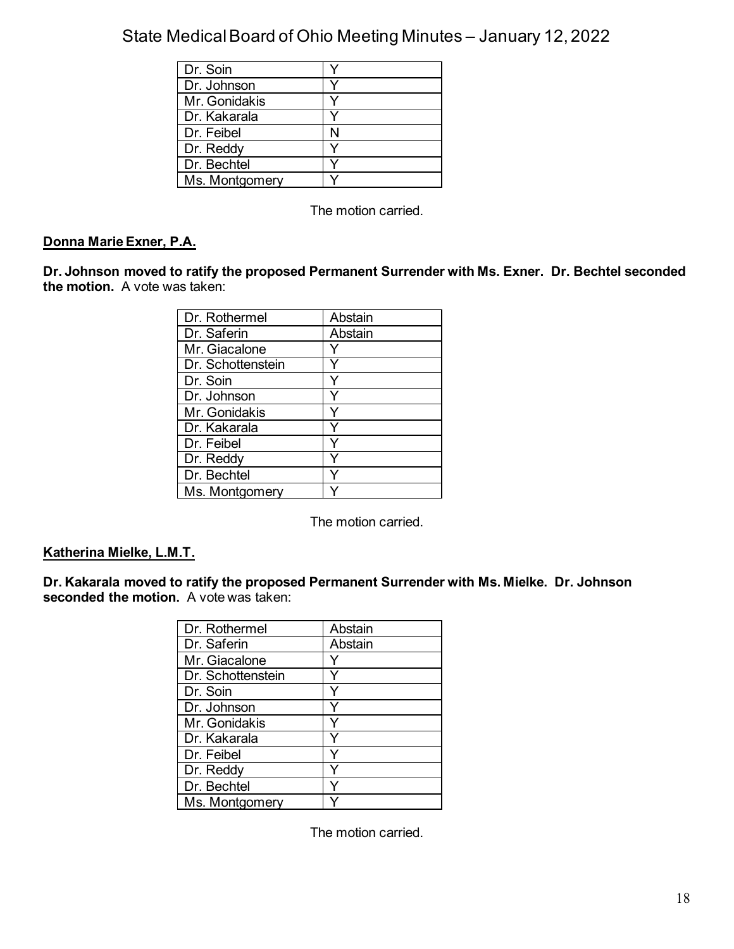| Dr. Soin       |   |
|----------------|---|
| Dr. Johnson    |   |
| Mr. Gonidakis  |   |
| Dr. Kakarala   |   |
| Dr. Feibel     | N |
| Dr. Reddy      |   |
| Dr. Bechtel    |   |
| Ms. Montgomery |   |

The motion carried.

## **Donna Marie Exner, P.A.**

**Dr. Johnson moved to ratify the proposed Permanent Surrender with Ms. Exner. Dr. Bechtel seconded the motion.** A vote was taken:

| Dr. Rothermel     | Abstain |
|-------------------|---------|
| Dr. Saferin       | Abstain |
| Mr. Giacalone     |         |
| Dr. Schottenstein |         |
| Dr. Soin          |         |
| Dr. Johnson       |         |
| Mr. Gonidakis     |         |
| Dr. Kakarala      |         |
| Dr. Feibel        |         |
| Dr. Reddy         |         |
| Dr. Bechtel       |         |
| Ms. Montgomery    |         |

The motion carried.

### **Katherina Mielke, L.M.T.**

**Dr. Kakarala moved to ratify the proposed Permanent Surrender with Ms. Mielke. Dr. Johnson seconded the motion.** A vote was taken:

| Dr. Rothermel     | Abstain |
|-------------------|---------|
| Dr. Saferin       | Abstain |
| Mr. Giacalone     |         |
| Dr. Schottenstein |         |
| Dr. Soin          |         |
| Dr. Johnson       |         |
| Mr. Gonidakis     |         |
| Dr. Kakarala      |         |
| Dr. Feibel        |         |
| Dr. Reddy         |         |
| Dr. Bechtel       |         |
| Ms. Montgomery    |         |

The motion carried.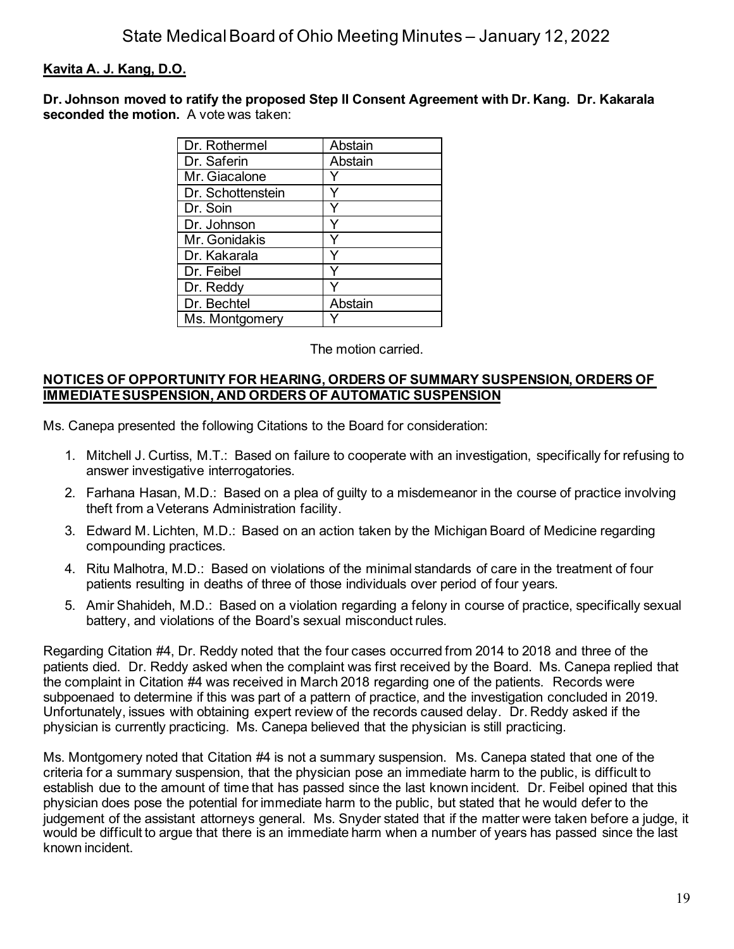## **Kavita A. J. Kang, D.O.**

**Dr. Johnson moved to ratify the proposed Step II Consent Agreement with Dr. Kang. Dr. Kakarala seconded the motion.** A vote was taken:

| Dr. Rothermel     | Abstain |
|-------------------|---------|
| Dr. Saferin       | Abstain |
| Mr. Giacalone     |         |
| Dr. Schottenstein |         |
| Dr. Soin          |         |
| Dr. Johnson       |         |
| Mr. Gonidakis     |         |
| Dr. Kakarala      |         |
| Dr. Feibel        |         |
| Dr. Reddy         |         |
| Dr. Bechtel       | Abstain |
| Ms. Montgomery    |         |

The motion carried.

#### **NOTICES OF OPPORTUNITY FOR HEARING, ORDERS OF SUMMARY SUSPENSION, ORDERS OF IMMEDIATE SUSPENSION, AND ORDERS OF AUTOMATIC SUSPENSION**

Ms. Canepa presented the following Citations to the Board for consideration:

- 1. Mitchell J. Curtiss, M.T.: Based on failure to cooperate with an investigation, specifically for refusing to answer investigative interrogatories.
- 2. Farhana Hasan, M.D.: Based on a plea of guilty to a misdemeanor in the course of practice involving theft from a Veterans Administration facility.
- 3. Edward M. Lichten, M.D.: Based on an action taken by the Michigan Board of Medicine regarding compounding practices.
- 4. Ritu Malhotra, M.D.: Based on violations of the minimal standards of care in the treatment of four patients resulting in deaths of three of those individuals over period of four years.
- 5. Amir Shahideh, M.D.: Based on a violation regarding a felony in course of practice, specifically sexual battery, and violations of the Board's sexual misconduct rules.

Regarding Citation #4, Dr. Reddy noted that the four cases occurred from 2014 to 2018 and three of the patients died. Dr. Reddy asked when the complaint was first received by the Board. Ms. Canepa replied that the complaint in Citation #4 was received in March 2018 regarding one of the patients. Records were subpoenaed to determine if this was part of a pattern of practice, and the investigation concluded in 2019. Unfortunately, issues with obtaining expert review of the records caused delay. Dr. Reddy asked if the physician is currently practicing. Ms. Canepa believed that the physician is still practicing.

Ms. Montgomery noted that Citation #4 is not a summary suspension. Ms. Canepa stated that one of the criteria for a summary suspension, that the physician pose an immediate harm to the public, is difficult to establish due to the amount of time that has passed since the last known incident. Dr. Feibel opined that this physician does pose the potential for immediate harm to the public, but stated that he would defer to the judgement of the assistant attorneys general. Ms. Snyder stated that if the matter were taken before a judge, it would be difficult to argue that there is an immediate harm when a number of years has passed since the last known incident.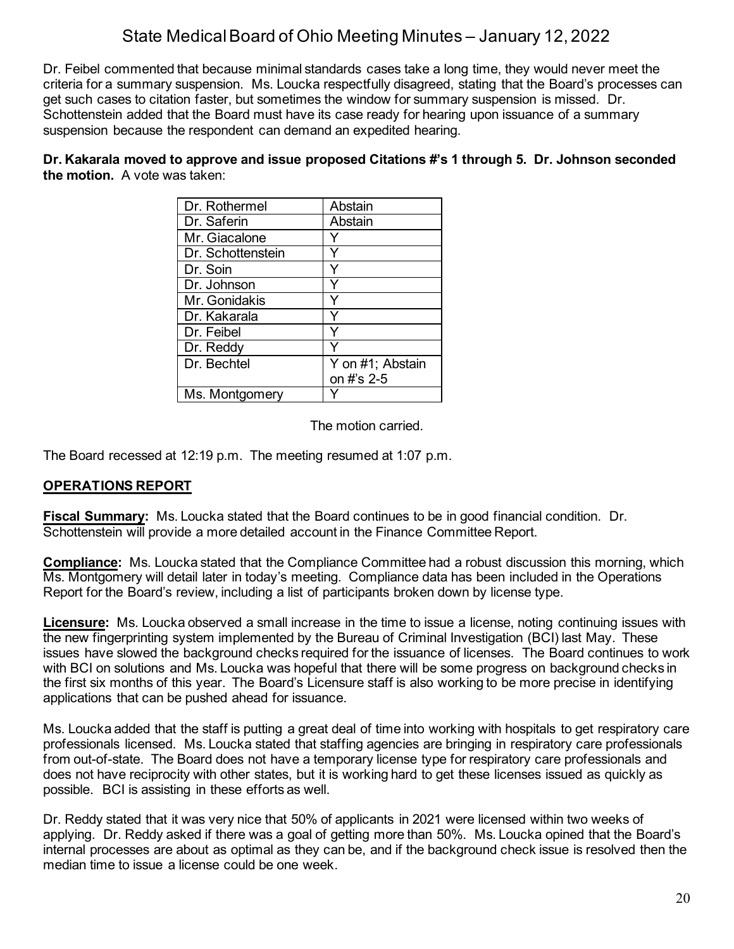Dr. Feibel commented that because minimal standards cases take a long time, they would never meet the criteria for a summary suspension. Ms. Loucka respectfully disagreed, stating that the Board's processes can get such cases to citation faster, but sometimes the window for summary suspension is missed. Dr. Schottenstein added that the Board must have its case ready for hearing upon issuance of a summary suspension because the respondent can demand an expedited hearing.

**Dr. Kakarala moved to approve and issue proposed Citations #'s 1 through 5. Dr. Johnson seconded the motion.** A vote was taken:

| Dr. Rothermel     | Abstain          |
|-------------------|------------------|
| Dr. Saferin       | Abstain          |
| Mr. Giacalone     |                  |
| Dr. Schottenstein |                  |
| Dr. Soin          |                  |
| Dr. Johnson       |                  |
| Mr. Gonidakis     |                  |
| Dr. Kakarala      |                  |
| Dr. Feibel        |                  |
| Dr. Reddy         |                  |
| Dr. Bechtel       | Y on #1; Abstain |
|                   | on #'s 2-5       |
| Ms. Montgomery    |                  |

The motion carried.

The Board recessed at 12:19 p.m. The meeting resumed at 1:07 p.m.

### **OPERATIONS REPORT**

**Fiscal Summary:** Ms. Loucka stated that the Board continues to be in good financial condition. Dr. Schottenstein will provide a more detailed account in the Finance Committee Report.

**Compliance:** Ms. Loucka stated that the Compliance Committee had a robust discussion this morning, which Ms. Montgomery will detail later in today's meeting. Compliance data has been included in the Operations Report for the Board's review, including a list of participants broken down by license type.

**Licensure:** Ms. Loucka observed a small increase in the time to issue a license, noting continuing issues with the new fingerprinting system implemented by the Bureau of Criminal Investigation (BCI) last May. These issues have slowed the background checks required for the issuance of licenses. The Board continues to work with BCI on solutions and Ms. Loucka was hopeful that there will be some progress on background checks in the first six months of this year. The Board's Licensure staff is also working to be more precise in identifying applications that can be pushed ahead for issuance.

Ms. Loucka added that the staff is putting a great deal of time into working with hospitals to get respiratory care professionals licensed. Ms. Loucka stated that staffing agencies are bringing in respiratory care professionals from out-of-state. The Board does not have a temporary license type for respiratory care professionals and does not have reciprocity with other states, but it is working hard to get these licenses issued as quickly as possible. BCI is assisting in these efforts as well.

Dr. Reddy stated that it was very nice that 50% of applicants in 2021 were licensed within two weeks of applying. Dr. Reddy asked if there was a goal of getting more than 50%. Ms. Loucka opined that the Board's internal processes are about as optimal as they can be, and if the background check issue is resolved then the median time to issue a license could be one week.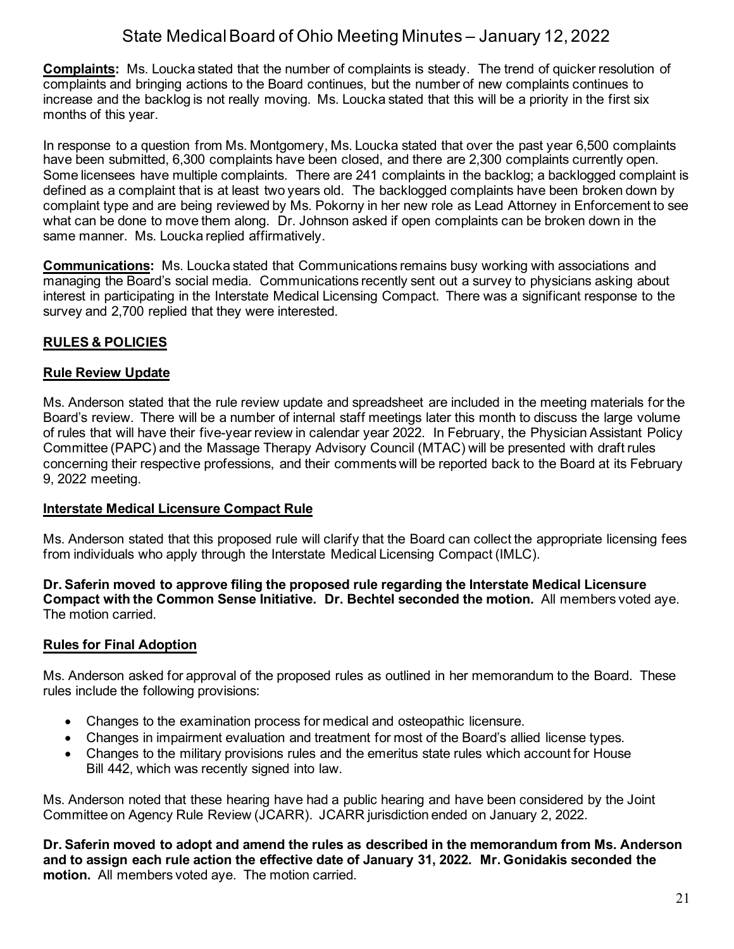**Complaints:** Ms. Loucka stated that the number of complaints is steady. The trend of quicker resolution of complaints and bringing actions to the Board continues, but the number of new complaints continues to increase and the backlog is not really moving. Ms. Loucka stated that this will be a priority in the first six months of this year.

In response to a question from Ms. Montgomery, Ms. Loucka stated that over the past year 6,500 complaints have been submitted, 6,300 complaints have been closed, and there are 2,300 complaints currently open. Some licensees have multiple complaints. There are 241 complaints in the backlog; a backlogged complaint is defined as a complaint that is at least two years old. The backlogged complaints have been broken down by complaint type and are being reviewed by Ms. Pokorny in her new role as Lead Attorney in Enforcement to see what can be done to move them along. Dr. Johnson asked if open complaints can be broken down in the same manner. Ms. Loucka replied affirmatively.

**Communications:** Ms. Loucka stated that Communications remains busy working with associations and managing the Board's social media. Communications recently sent out a survey to physicians asking about interest in participating in the Interstate Medical Licensing Compact. There was a significant response to the survey and 2,700 replied that they were interested.

## **RULES & POLICIES**

#### **Rule Review Update**

Ms. Anderson stated that the rule review update and spreadsheet are included in the meeting materials for the Board's review. There will be a number of internal staff meetings later this month to discuss the large volume of rules that will have their five-year review in calendar year 2022. In February, the Physician Assistant Policy Committee (PAPC) and the Massage Therapy Advisory Council (MTAC) will be presented with draft rules concerning their respective professions, and their comments will be reported back to the Board at its February 9, 2022 meeting.

### **Interstate Medical Licensure Compact Rule**

Ms. Anderson stated that this proposed rule will clarify that the Board can collect the appropriate licensing fees from individuals who apply through the Interstate Medical Licensing Compact (IMLC).

**Dr. Saferin moved to approve filing the proposed rule regarding the Interstate Medical Licensure Compact with the Common Sense Initiative. Dr. Bechtel seconded the motion.** All members voted aye. The motion carried.

### **Rules for Final Adoption**

Ms. Anderson asked for approval of the proposed rules as outlined in her memorandum to the Board. These rules include the following provisions:

- Changes to the examination process for medical and osteopathic licensure.
- Changes in impairment evaluation and treatment for most of the Board's allied license types.
- Changes to the military provisions rules and the emeritus state rules which account for House Bill 442, which was recently signed into law.

Ms. Anderson noted that these hearing have had a public hearing and have been considered by the Joint Committee on Agency Rule Review (JCARR). JCARR jurisdiction ended on January 2, 2022.

**Dr. Saferin moved to adopt and amend the rules as described in the memorandum from Ms. Anderson and to assign each rule action the effective date of January 31, 2022. Mr. Gonidakis seconded the motion.** All members voted aye. The motion carried.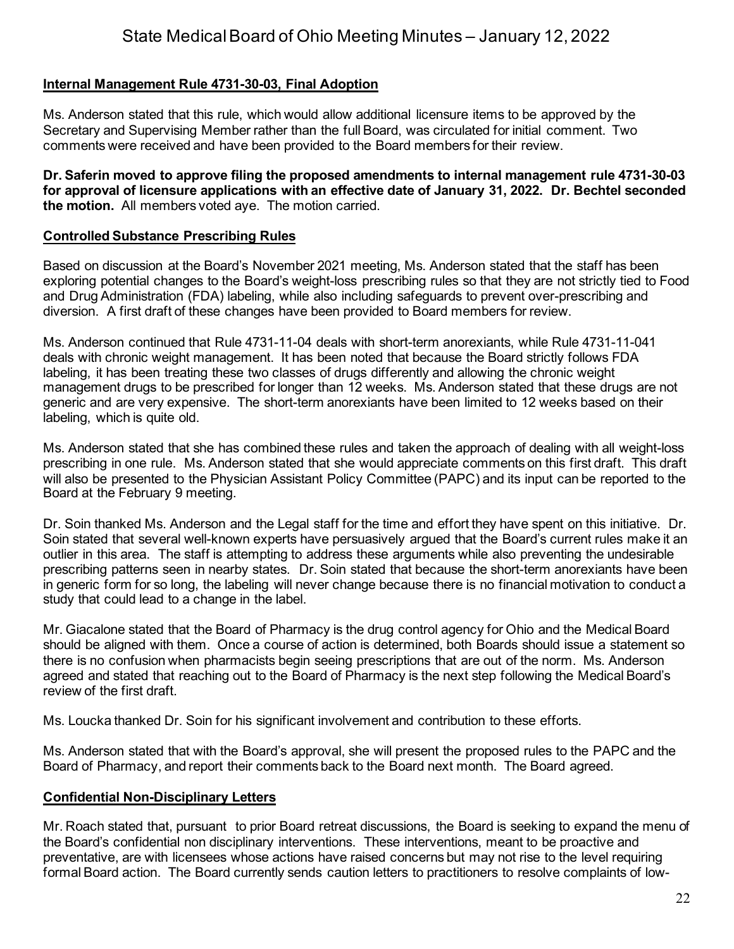## **Internal Management Rule 4731-30-03, Final Adoption**

Ms. Anderson stated that this rule, which would allow additional licensure items to be approved by the Secretary and Supervising Member rather than the full Board, was circulated for initial comment. Two comments were received and have been provided to the Board members for their review.

**Dr. Saferin moved to approve filing the proposed amendments to internal management rule 4731-30-03 for approval of licensure applications with an effective date of January 31, 2022. Dr. Bechtel seconded the motion.** All members voted aye. The motion carried.

#### **Controlled Substance Prescribing Rules**

Based on discussion at the Board's November 2021 meeting, Ms. Anderson stated that the staff has been exploring potential changes to the Board's weight-loss prescribing rules so that they are not strictly tied to Food and Drug Administration (FDA) labeling, while also including safeguards to prevent over-prescribing and diversion. A first draft of these changes have been provided to Board members for review.

Ms. Anderson continued that Rule 4731-11-04 deals with short-term anorexiants, while Rule 4731-11-041 deals with chronic weight management. It has been noted that because the Board strictly follows FDA labeling, it has been treating these two classes of drugs differently and allowing the chronic weight management drugs to be prescribed for longer than 12 weeks. Ms. Anderson stated that these drugs are not generic and are very expensive. The short-term anorexiants have been limited to 12 weeks based on their labeling, which is quite old.

Ms. Anderson stated that she has combined these rules and taken the approach of dealing with all weight-loss prescribing in one rule. Ms. Anderson stated that she would appreciate comments on this first draft. This draft will also be presented to the Physician Assistant Policy Committee (PAPC) and its input can be reported to the Board at the February 9 meeting.

Dr. Soin thanked Ms. Anderson and the Legal staff for the time and effort they have spent on this initiative. Dr. Soin stated that several well-known experts have persuasively argued that the Board's current rules make it an outlier in this area. The staff is attempting to address these arguments while also preventing the undesirable prescribing patterns seen in nearby states. Dr. Soin stated that because the short-term anorexiants have been in generic form for so long, the labeling will never change because there is no financial motivation to conduct a study that could lead to a change in the label.

Mr. Giacalone stated that the Board of Pharmacy is the drug control agency for Ohio and the Medical Board should be aligned with them. Once a course of action is determined, both Boards should issue a statement so there is no confusion when pharmacists begin seeing prescriptions that are out of the norm. Ms. Anderson agreed and stated that reaching out to the Board of Pharmacy is the next step following the Medical Board's review of the first draft.

Ms. Loucka thanked Dr. Soin for his significant involvement and contribution to these efforts.

Ms. Anderson stated that with the Board's approval, she will present the proposed rules to the PAPC and the Board of Pharmacy, and report their comments back to the Board next month. The Board agreed.

### **Confidential Non-Disciplinary Letters**

Mr. Roach stated that, pursuant to prior Board retreat discussions, the Board is seeking to expand the menu of the Board's confidential non disciplinary interventions. These interventions, meant to be proactive and preventative, are with licensees whose actions have raised concerns but may not rise to the level requiring formal Board action. The Board currently sends caution letters to practitioners to resolve complaints of low-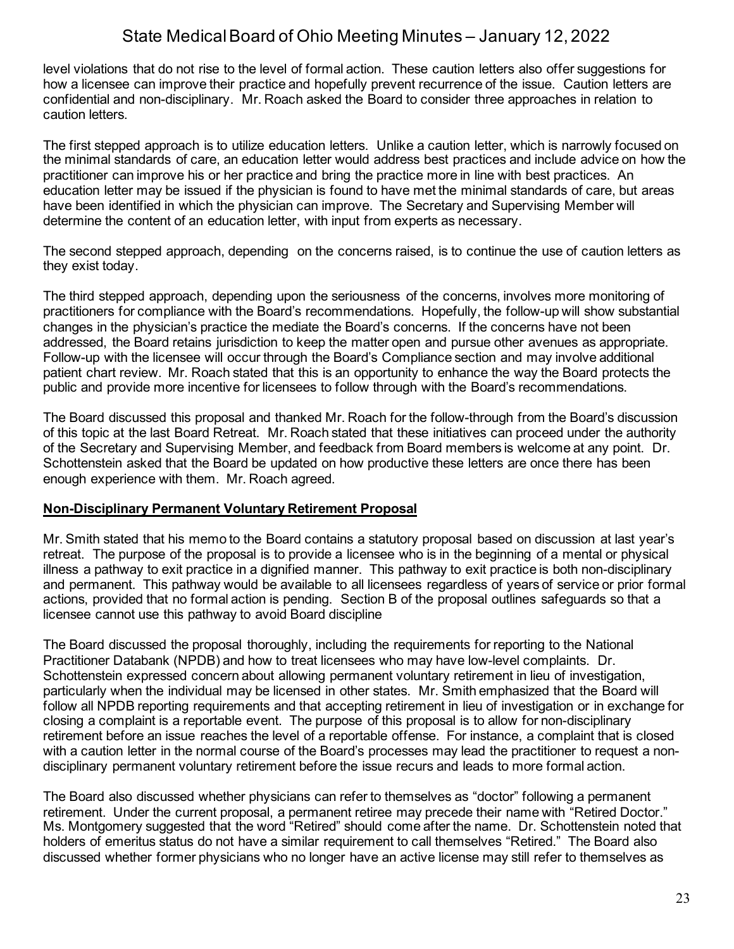level violations that do not rise to the level of formal action. These caution letters also offer suggestions for how a licensee can improve their practice and hopefully prevent recurrence of the issue. Caution letters are confidential and non-disciplinary. Mr. Roach asked the Board to consider three approaches in relation to caution letters.

The first stepped approach is to utilize education letters. Unlike a caution letter, which is narrowly focused on the minimal standards of care, an education letter would address best practices and include advice on how the practitioner can improve his or her practice and bring the practice more in line with best practices. An education letter may be issued if the physician is found to have met the minimal standards of care, but areas have been identified in which the physician can improve. The Secretary and Supervising Member will determine the content of an education letter, with input from experts as necessary.

The second stepped approach, depending on the concerns raised, is to continue the use of caution letters as they exist today.

The third stepped approach, depending upon the seriousness of the concerns, involves more monitoring of practitioners for compliance with the Board's recommendations. Hopefully, the follow-up will show substantial changes in the physician's practice the mediate the Board's concerns. If the concerns have not been addressed, the Board retains jurisdiction to keep the matter open and pursue other avenues as appropriate. Follow-up with the licensee will occur through the Board's Compliance section and may involve additional patient chart review. Mr. Roach stated that this is an opportunity to enhance the way the Board protects the public and provide more incentive for licensees to follow through with the Board's recommendations.

The Board discussed this proposal and thanked Mr. Roach for the follow-through from the Board's discussion of this topic at the last Board Retreat. Mr. Roach stated that these initiatives can proceed under the authority of the Secretary and Supervising Member, and feedback from Board members is welcome at any point. Dr. Schottenstein asked that the Board be updated on how productive these letters are once there has been enough experience with them. Mr. Roach agreed.

### **Non-Disciplinary Permanent Voluntary Retirement Proposal**

Mr. Smith stated that his memo to the Board contains a statutory proposal based on discussion at last year's retreat. The purpose of the proposal is to provide a licensee who is in the beginning of a mental or physical illness a pathway to exit practice in a dignified manner. This pathway to exit practice is both non-disciplinary and permanent. This pathway would be available to all licensees regardless of years of service or prior formal actions, provided that no formal action is pending. Section B of the proposal outlines safeguards so that a licensee cannot use this pathway to avoid Board discipline

The Board discussed the proposal thoroughly, including the requirements for reporting to the National Practitioner Databank (NPDB) and how to treat licensees who may have low-level complaints. Dr. Schottenstein expressed concern about allowing permanent voluntary retirement in lieu of investigation, particularly when the individual may be licensed in other states. Mr. Smith emphasized that the Board will follow all NPDB reporting requirements and that accepting retirement in lieu of investigation or in exchange for closing a complaint is a reportable event. The purpose of this proposal is to allow for non-disciplinary retirement before an issue reaches the level of a reportable offense. For instance, a complaint that is closed with a caution letter in the normal course of the Board's processes may lead the practitioner to request a nondisciplinary permanent voluntary retirement before the issue recurs and leads to more formal action.

The Board also discussed whether physicians can refer to themselves as "doctor" following a permanent retirement. Under the current proposal, a permanent retiree may precede their name with "Retired Doctor." Ms. Montgomery suggested that the word "Retired" should come after the name. Dr. Schottenstein noted that holders of emeritus status do not have a similar requirement to call themselves "Retired." The Board also discussed whether former physicians who no longer have an active license may still refer to themselves as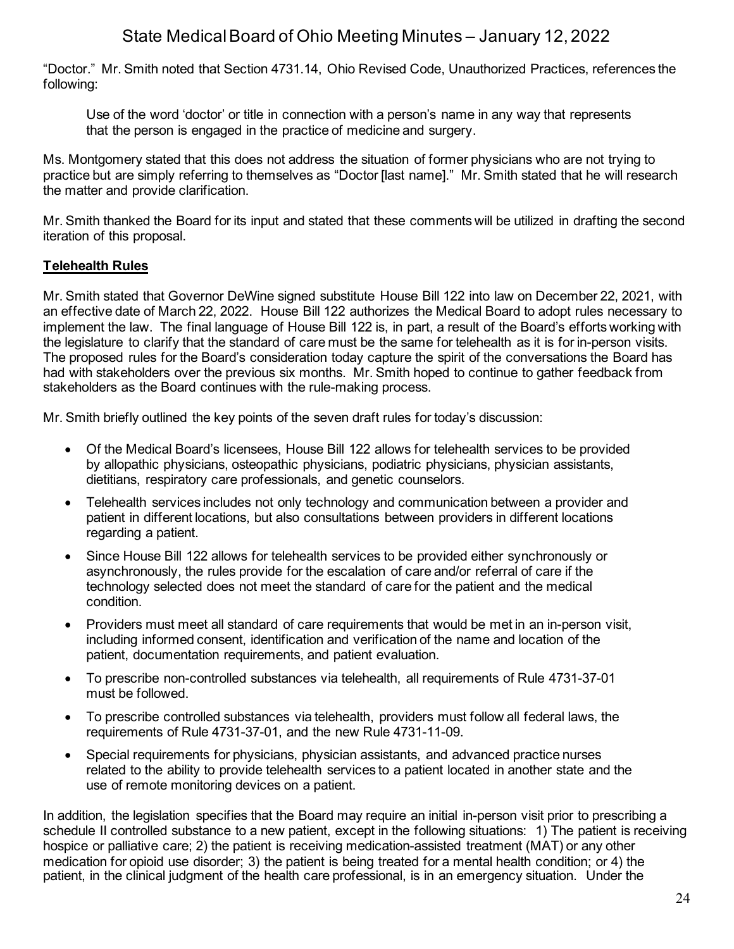"Doctor." Mr. Smith noted that Section 4731.14, Ohio Revised Code, Unauthorized Practices, references the following:

Use of the word 'doctor' or title in connection with a person's name in any way that represents that the person is engaged in the practice of medicine and surgery.

Ms. Montgomery stated that this does not address the situation of former physicians who are not trying to practice but are simply referring to themselves as "Doctor [last name]." Mr. Smith stated that he will research the matter and provide clarification.

Mr. Smith thanked the Board for its input and stated that these comments will be utilized in drafting the second iteration of this proposal.

## **Telehealth Rules**

Mr. Smith stated that Governor DeWine signed substitute House Bill 122 into law on December 22, 2021, with an effective date of March 22, 2022. House Bill 122 authorizes the Medical Board to adopt rules necessary to implement the law. The final language of House Bill 122 is, in part, a result of the Board's efforts working with the legislature to clarify that the standard of care must be the same for telehealth as it is for in-person visits. The proposed rules for the Board's consideration today capture the spirit of the conversations the Board has had with stakeholders over the previous six months. Mr. Smith hoped to continue to gather feedback from stakeholders as the Board continues with the rule-making process.

Mr. Smith briefly outlined the key points of the seven draft rules for today's discussion:

- Of the Medical Board's licensees, House Bill 122 allows for telehealth services to be provided by allopathic physicians, osteopathic physicians, podiatric physicians, physician assistants, dietitians, respiratory care professionals, and genetic counselors.
- Telehealth services includes not only technology and communication between a provider and patient in different locations, but also consultations between providers in different locations regarding a patient.
- Since House Bill 122 allows for telehealth services to be provided either synchronously or asynchronously, the rules provide for the escalation of care and/or referral of care if the technology selected does not meet the standard of care for the patient and the medical condition.
- Providers must meet all standard of care requirements that would be met in an in-person visit, including informed consent, identification and verification of the name and location of the patient, documentation requirements, and patient evaluation.
- To prescribe non-controlled substances via telehealth, all requirements of Rule 4731-37-01 must be followed.
- To prescribe controlled substances via telehealth, providers must follow all federal laws, the requirements of Rule 4731-37-01, and the new Rule 4731-11-09.
- Special requirements for physicians, physician assistants, and advanced practice nurses related to the ability to provide telehealth services to a patient located in another state and the use of remote monitoring devices on a patient.

In addition, the legislation specifies that the Board may require an initial in-person visit prior to prescribing a schedule II controlled substance to a new patient, except in the following situations: 1) The patient is receiving hospice or palliative care; 2) the patient is receiving medication-assisted treatment (MAT) or any other medication for opioid use disorder; 3) the patient is being treated for a mental health condition; or 4) the patient, in the clinical judgment of the health care professional, is in an emergency situation. Under the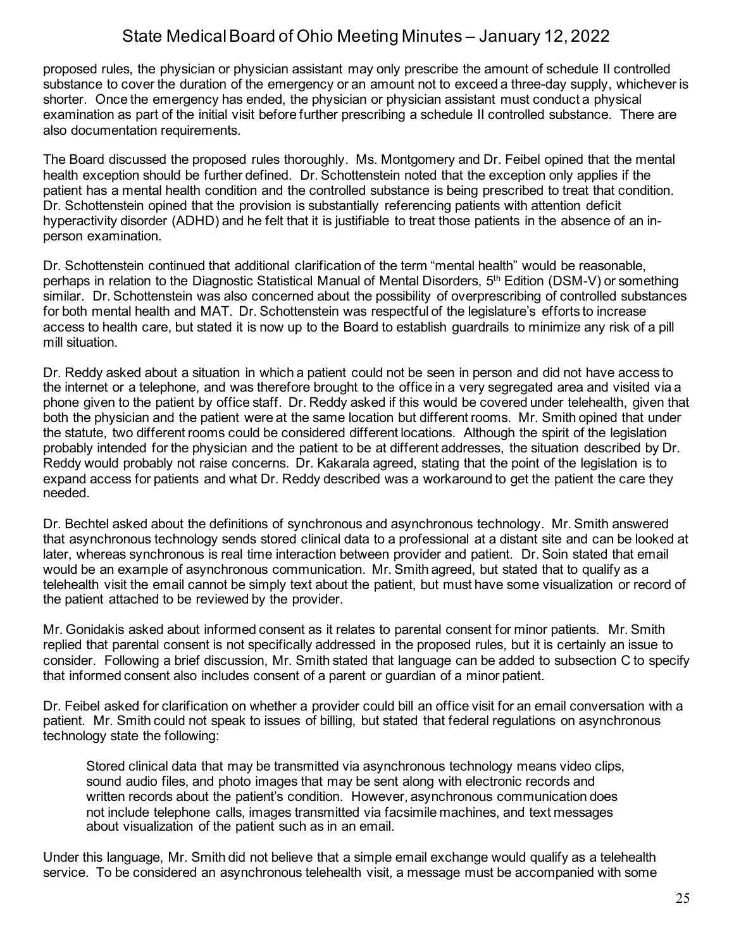proposed rules, the physician or physician assistant may only prescribe the amount of schedule II controlled substance to cover the duration of the emergency or an amount not to exceed a three-day supply, whichever is shorter. Once the emergency has ended, the physician or physician assistant must conduct a physical examination as part of the initial visit before further prescribing a schedule II controlled substance. There are also documentation requirements.

The Board discussed the proposed rules thoroughly. Ms. Montgomery and Dr. Feibel opined that the mental health exception should be further defined. Dr. Schottenstein noted that the exception only applies if the patient has a mental health condition and the controlled substance is being prescribed to treat that condition. Dr. Schottenstein opined that the provision is substantially referencing patients with attention deficit hyperactivity disorder (ADHD) and he felt that it is justifiable to treat those patients in the absence of an inperson examination.

Dr. Schottenstein continued that additional clarification of the term "mental health" would be reasonable, perhaps in relation to the Diagnostic Statistical Manual of Mental Disorders, 5th Edition (DSM-V) or something similar. Dr. Schottenstein was also concerned about the possibility of overprescribing of controlled substances for both mental health and MAT. Dr. Schottenstein was respectful of the legislature's efforts to increase access to health care, but stated it is now up to the Board to establish guardrails to minimize any risk of a pill mill situation.

Dr. Reddy asked about a situation in which a patient could not be seen in person and did not have access to the internet or a telephone, and was therefore brought to the office in a very segregated area and visited via a phone given to the patient by office staff. Dr. Reddy asked if this would be covered under telehealth, given that both the physician and the patient were at the same location but different rooms. Mr. Smith opined that under the statute, two different rooms could be considered different locations. Although the spirit of the legislation probably intended for the physician and the patient to be at different addresses, the situation described by Dr. Reddy would probably not raise concerns. Dr. Kakarala agreed, stating that the point of the legislation is to expand access for patients and what Dr. Reddy described was a workaround to get the patient the care they needed.

Dr. Bechtel asked about the definitions of synchronous and asynchronous technology. Mr. Smith answered that asynchronous technology sends stored clinical data to a professional at a distant site and can be looked at later, whereas synchronous is real time interaction between provider and patient. Dr. Soin stated that email would be an example of asynchronous communication. Mr. Smith agreed, but stated that to qualify as a telehealth visit the email cannot be simply text about the patient, but must have some visualization or record of the patient attached to be reviewed by the provider.

Mr. Gonidakis asked about informed consent as it relates to parental consent for minor patients. Mr. Smith replied that parental consent is not specifically addressed in the proposed rules, but it is certainly an issue to consider. Following a brief discussion, Mr. Smith stated that language can be added to subsection C to specify that informed consent also includes consent of a parent or guardian of a minor patient.

Dr. Feibel asked for clarification on whether a provider could bill an office visit for an email conversation with a patient. Mr. Smith could not speak to issues of billing, but stated that federal regulations on asynchronous technology state the following:

Stored clinical data that may be transmitted via asynchronous technology means video clips, sound audio files, and photo images that may be sent along with electronic records and written records about the patient's condition. However, asynchronous communication does not include telephone calls, images transmitted via facsimile machines, and text messages about visualization of the patient such as in an email.

Under this language, Mr. Smith did not believe that a simple email exchange would qualify as a telehealth service. To be considered an asynchronous telehealth visit, a message must be accompanied with some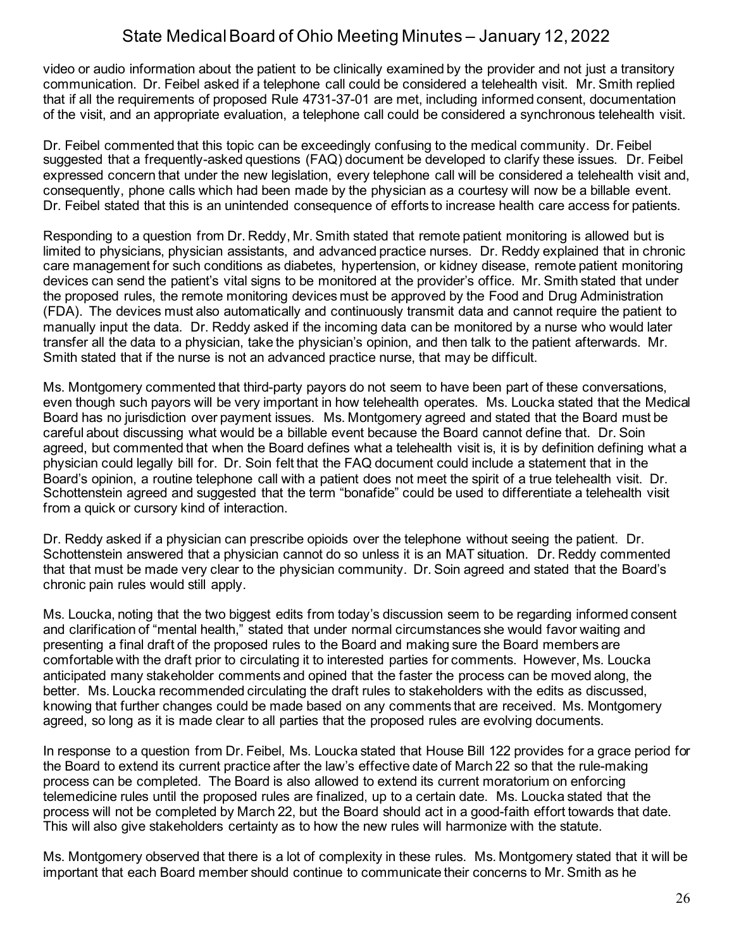video or audio information about the patient to be clinically examined by the provider and not just a transitory communication. Dr. Feibel asked if a telephone call could be considered a telehealth visit. Mr. Smith replied that if all the requirements of proposed Rule 4731-37-01 are met, including informed consent, documentation of the visit, and an appropriate evaluation, a telephone call could be considered a synchronous telehealth visit.

Dr. Feibel commented that this topic can be exceedingly confusing to the medical community. Dr. Feibel suggested that a frequently-asked questions (FAQ) document be developed to clarify these issues. Dr. Feibel expressed concern that under the new legislation, every telephone call will be considered a telehealth visit and, consequently, phone calls which had been made by the physician as a courtesy will now be a billable event. Dr. Feibel stated that this is an unintended consequence of efforts to increase health care access for patients.

Responding to a question from Dr. Reddy, Mr. Smith stated that remote patient monitoring is allowed but is limited to physicians, physician assistants, and advanced practice nurses. Dr. Reddy explained that in chronic care management for such conditions as diabetes, hypertension, or kidney disease, remote patient monitoring devices can send the patient's vital signs to be monitored at the provider's office. Mr. Smith stated that under the proposed rules, the remote monitoring devices must be approved by the Food and Drug Administration (FDA). The devices must also automatically and continuously transmit data and cannot require the patient to manually input the data. Dr. Reddy asked if the incoming data can be monitored by a nurse who would later transfer all the data to a physician, take the physician's opinion, and then talk to the patient afterwards. Mr. Smith stated that if the nurse is not an advanced practice nurse, that may be difficult.

Ms. Montgomery commented that third-party payors do not seem to have been part of these conversations, even though such payors will be very important in how telehealth operates. Ms. Loucka stated that the Medical Board has no jurisdiction over payment issues. Ms. Montgomery agreed and stated that the Board must be careful about discussing what would be a billable event because the Board cannot define that. Dr. Soin agreed, but commented that when the Board defines what a telehealth visit is, it is by definition defining what a physician could legally bill for. Dr. Soin felt that the FAQ document could include a statement that in the Board's opinion, a routine telephone call with a patient does not meet the spirit of a true telehealth visit. Dr. Schottenstein agreed and suggested that the term "bonafide" could be used to differentiate a telehealth visit from a quick or cursory kind of interaction.

Dr. Reddy asked if a physician can prescribe opioids over the telephone without seeing the patient. Dr. Schottenstein answered that a physician cannot do so unless it is an MAT situation. Dr. Reddy commented that that must be made very clear to the physician community. Dr. Soin agreed and stated that the Board's chronic pain rules would still apply.

Ms. Loucka, noting that the two biggest edits from today's discussion seem to be regarding informed consent and clarification of "mental health," stated that under normal circumstances she would favor waiting and presenting a final draft of the proposed rules to the Board and making sure the Board members are comfortable with the draft prior to circulating it to interested parties for comments. However, Ms. Loucka anticipated many stakeholder comments and opined that the faster the process can be moved along, the better. Ms. Loucka recommended circulating the draft rules to stakeholders with the edits as discussed, knowing that further changes could be made based on any comments that are received. Ms. Montgomery agreed, so long as it is made clear to all parties that the proposed rules are evolving documents.

In response to a question from Dr. Feibel, Ms. Loucka stated that House Bill 122 provides for a grace period for the Board to extend its current practice after the law's effective date of March 22 so that the rule-making process can be completed. The Board is also allowed to extend its current moratorium on enforcing telemedicine rules until the proposed rules are finalized, up to a certain date. Ms. Loucka stated that the process will not be completed by March 22, but the Board should act in a good-faith effort towards that date. This will also give stakeholders certainty as to how the new rules will harmonize with the statute.

Ms. Montgomery observed that there is a lot of complexity in these rules. Ms. Montgomery stated that it will be important that each Board member should continue to communicate their concerns to Mr. Smith as he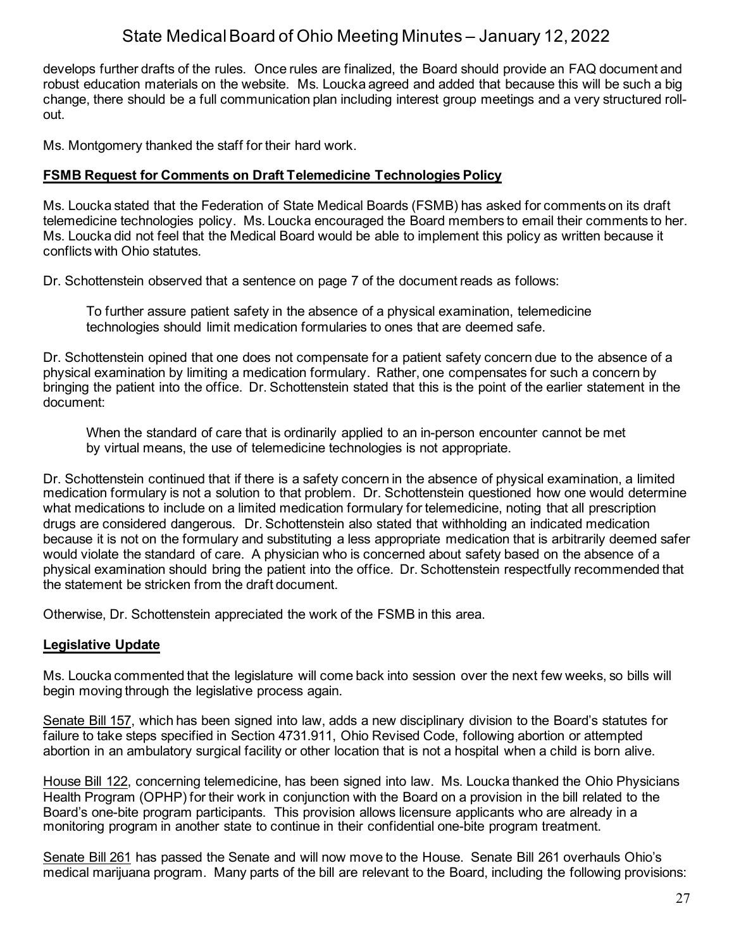develops further drafts of the rules. Once rules are finalized, the Board should provide an FAQ document and robust education materials on the website. Ms. Loucka agreed and added that because this will be such a big change, there should be a full communication plan including interest group meetings and a very structured rollout.

Ms. Montgomery thanked the staff for their hard work.

#### **FSMB Request for Comments on Draft Telemedicine Technologies Policy**

Ms. Loucka stated that the Federation of State Medical Boards (FSMB) has asked for comments on its draft telemedicine technologies policy. Ms. Loucka encouraged the Board members to email their comments to her. Ms. Loucka did not feel that the Medical Board would be able to implement this policy as written because it conflicts with Ohio statutes.

Dr. Schottenstein observed that a sentence on page 7 of the document reads as follows:

To further assure patient safety in the absence of a physical examination, telemedicine technologies should limit medication formularies to ones that are deemed safe.

Dr. Schottenstein opined that one does not compensate for a patient safety concern due to the absence of a physical examination by limiting a medication formulary. Rather, one compensates for such a concern by bringing the patient into the office. Dr. Schottenstein stated that this is the point of the earlier statement in the document:

When the standard of care that is ordinarily applied to an in-person encounter cannot be met by virtual means, the use of telemedicine technologies is not appropriate.

Dr. Schottenstein continued that if there is a safety concern in the absence of physical examination, a limited medication formulary is not a solution to that problem. Dr. Schottenstein questioned how one would determine what medications to include on a limited medication formulary for telemedicine, noting that all prescription drugs are considered dangerous. Dr. Schottenstein also stated that withholding an indicated medication because it is not on the formulary and substituting a less appropriate medication that is arbitrarily deemed safer would violate the standard of care. A physician who is concerned about safety based on the absence of a physical examination should bring the patient into the office. Dr. Schottenstein respectfully recommended that the statement be stricken from the draft document.

Otherwise, Dr. Schottenstein appreciated the work of the FSMB in this area.

### **Legislative Update**

Ms. Loucka commented that the legislature will come back into session over the next few weeks, so bills will begin moving through the legislative process again.

Senate Bill 157, which has been signed into law, adds a new disciplinary division to the Board's statutes for failure to take steps specified in Section 4731.911, Ohio Revised Code, following abortion or attempted abortion in an ambulatory surgical facility or other location that is not a hospital when a child is born alive.

House Bill 122, concerning telemedicine, has been signed into law. Ms. Loucka thanked the Ohio Physicians Health Program (OPHP) for their work in conjunction with the Board on a provision in the bill related to the Board's one-bite program participants. This provision allows licensure applicants who are already in a monitoring program in another state to continue in their confidential one-bite program treatment.

Senate Bill 261 has passed the Senate and will now move to the House. Senate Bill 261 overhauls Ohio's medical marijuana program. Many parts of the bill are relevant to the Board, including the following provisions: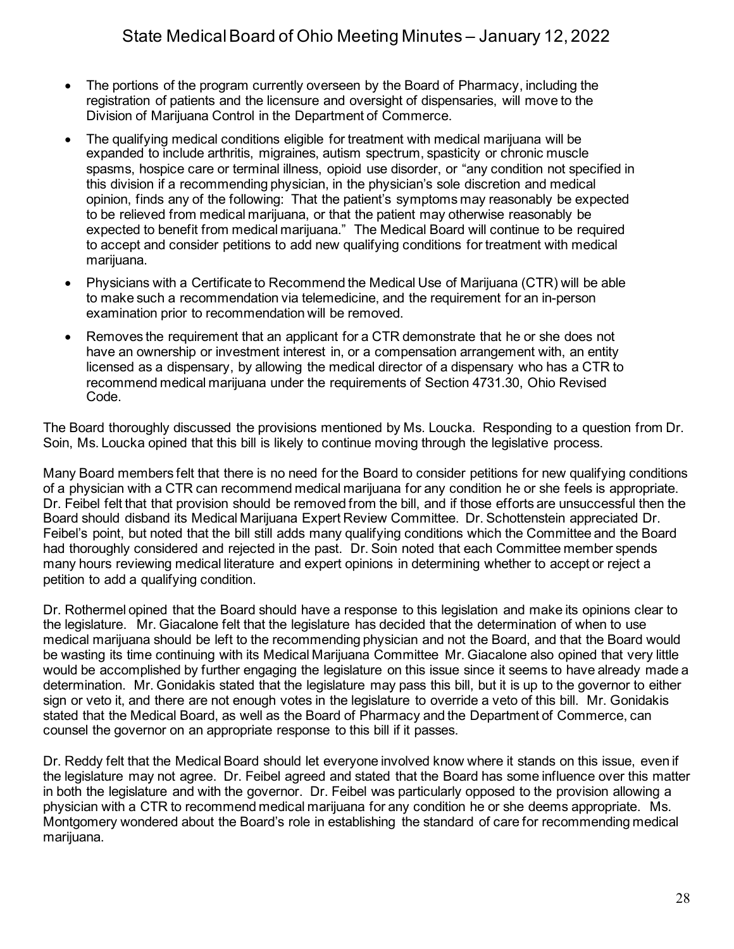- The portions of the program currently overseen by the Board of Pharmacy, including the registration of patients and the licensure and oversight of dispensaries, will move to the Division of Marijuana Control in the Department of Commerce.
- The qualifying medical conditions eligible for treatment with medical marijuana will be expanded to include arthritis, migraines, autism spectrum, spasticity or chronic muscle spasms, hospice care or terminal illness, opioid use disorder, or "any condition not specified in this division if a recommending physician, in the physician's sole discretion and medical opinion, finds any of the following: That the patient's symptoms may reasonably be expected to be relieved from medical marijuana, or that the patient may otherwise reasonably be expected to benefit from medical marijuana." The Medical Board will continue to be required to accept and consider petitions to add new qualifying conditions for treatment with medical marijuana.
- Physicians with a Certificate to Recommend the Medical Use of Marijuana (CTR) will be able to make such a recommendation via telemedicine, and the requirement for an in-person examination prior to recommendation will be removed.
- Removes the requirement that an applicant for a CTR demonstrate that he or she does not have an ownership or investment interest in, or a compensation arrangement with, an entity licensed as a dispensary, by allowing the medical director of a dispensary who has a CTR to recommend medical marijuana under the requirements of Section 4731.30, Ohio Revised Code.

The Board thoroughly discussed the provisions mentioned by Ms. Loucka. Responding to a question from Dr. Soin, Ms. Loucka opined that this bill is likely to continue moving through the legislative process.

Many Board members felt that there is no need for the Board to consider petitions for new qualifying conditions of a physician with a CTR can recommend medical marijuana for any condition he or she feels is appropriate. Dr. Feibel felt that that provision should be removed from the bill, and if those efforts are unsuccessful then the Board should disband its Medical Marijuana Expert Review Committee. Dr. Schottenstein appreciated Dr. Feibel's point, but noted that the bill still adds many qualifying conditions which the Committee and the Board had thoroughly considered and rejected in the past. Dr. Soin noted that each Committee member spends many hours reviewing medical literature and expert opinions in determining whether to accept or reject a petition to add a qualifying condition.

Dr. Rothermel opined that the Board should have a response to this legislation and make its opinions clear to the legislature. Mr. Giacalone felt that the legislature has decided that the determination of when to use medical marijuana should be left to the recommending physician and not the Board, and that the Board would be wasting its time continuing with its Medical Marijuana Committee Mr. Giacalone also opined that very little would be accomplished by further engaging the legislature on this issue since it seems to have already made a determination. Mr. Gonidakis stated that the legislature may pass this bill, but it is up to the governor to either sign or veto it, and there are not enough votes in the legislature to override a veto of this bill. Mr. Gonidakis stated that the Medical Board, as well as the Board of Pharmacy and the Department of Commerce, can counsel the governor on an appropriate response to this bill if it passes.

Dr. Reddy felt that the Medical Board should let everyone involved know where it stands on this issue, even if the legislature may not agree. Dr. Feibel agreed and stated that the Board has some influence over this matter in both the legislature and with the governor. Dr. Feibel was particularly opposed to the provision allowing a physician with a CTR to recommend medical marijuana for any condition he or she deems appropriate. Ms. Montgomery wondered about the Board's role in establishing the standard of care for recommending medical marijuana.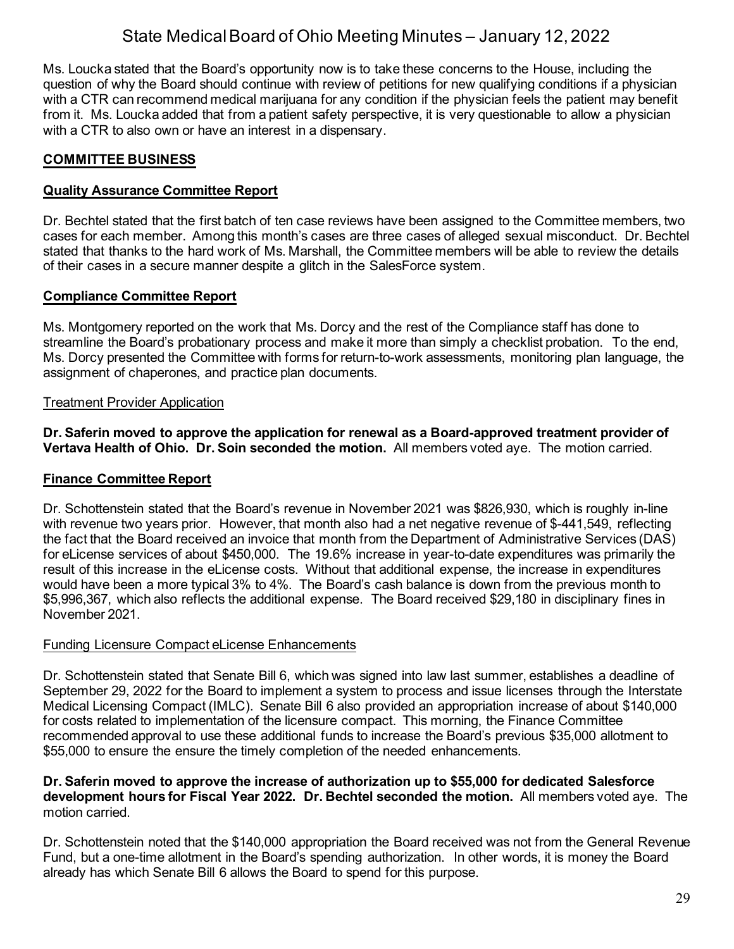Ms. Loucka stated that the Board's opportunity now is to take these concerns to the House, including the question of why the Board should continue with review of petitions for new qualifying conditions if a physician with a CTR can recommend medical marijuana for any condition if the physician feels the patient may benefit from it. Ms. Loucka added that from a patient safety perspective, it is very questionable to allow a physician with a CTR to also own or have an interest in a dispensary.

## **COMMITTEE BUSINESS**

### **Quality Assurance Committee Report**

Dr. Bechtel stated that the first batch of ten case reviews have been assigned to the Committee members, two cases for each member. Among this month's cases are three cases of alleged sexual misconduct. Dr. Bechtel stated that thanks to the hard work of Ms. Marshall, the Committee members will be able to review the details of their cases in a secure manner despite a glitch in the SalesForce system.

### **Compliance Committee Report**

Ms. Montgomery reported on the work that Ms. Dorcy and the rest of the Compliance staff has done to streamline the Board's probationary process and make it more than simply a checklist probation. To the end, Ms. Dorcy presented the Committee with forms for return-to-work assessments, monitoring plan language, the assignment of chaperones, and practice plan documents.

### Treatment Provider Application

**Dr. Saferin moved to approve the application for renewal as a Board-approved treatment provider of Vertava Health of Ohio. Dr. Soin seconded the motion.** All members voted aye. The motion carried.

### **Finance Committee Report**

Dr. Schottenstein stated that the Board's revenue in November 2021 was \$826,930, which is roughly in-line with revenue two years prior. However, that month also had a net negative revenue of \$-441,549, reflecting the fact that the Board received an invoice that month from the Department of Administrative Services (DAS) for eLicense services of about \$450,000. The 19.6% increase in year-to-date expenditures was primarily the result of this increase in the eLicense costs. Without that additional expense, the increase in expenditures would have been a more typical 3% to 4%. The Board's cash balance is down from the previous month to \$5,996,367, which also reflects the additional expense. The Board received \$29,180 in disciplinary fines in November 2021.

### Funding Licensure Compact eLicense Enhancements

Dr. Schottenstein stated that Senate Bill 6, which was signed into law last summer, establishes a deadline of September 29, 2022 for the Board to implement a system to process and issue licenses through the Interstate Medical Licensing Compact (IMLC). Senate Bill 6 also provided an appropriation increase of about \$140,000 for costs related to implementation of the licensure compact. This morning, the Finance Committee recommended approval to use these additional funds to increase the Board's previous \$35,000 allotment to \$55,000 to ensure the ensure the timely completion of the needed enhancements.

#### **Dr. Saferin moved to approve the increase of authorization up to \$55,000 for dedicated Salesforce development hours for Fiscal Year 2022. Dr. Bechtel seconded the motion.** All members voted aye. The motion carried.

Dr. Schottenstein noted that the \$140,000 appropriation the Board received was not from the General Revenue Fund, but a one-time allotment in the Board's spending authorization. In other words, it is money the Board already has which Senate Bill 6 allows the Board to spend for this purpose.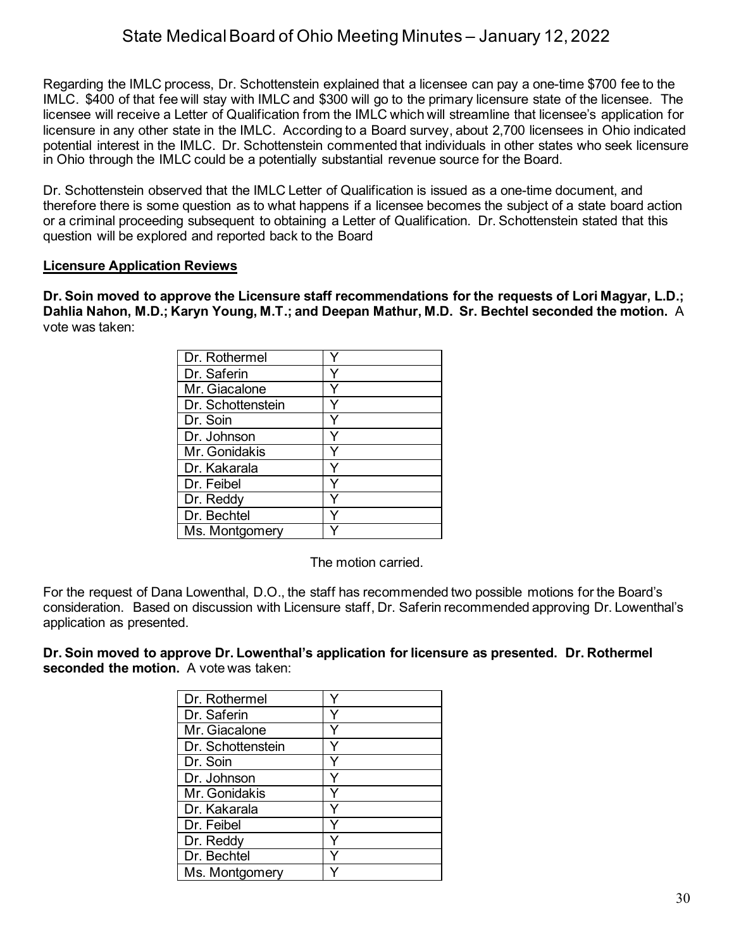Regarding the IMLC process, Dr. Schottenstein explained that a licensee can pay a one-time \$700 fee to the IMLC. \$400 of that fee will stay with IMLC and \$300 will go to the primary licensure state of the licensee. The licensee will receive a Letter of Qualification from the IMLC which will streamline that licensee's application for licensure in any other state in the IMLC. According to a Board survey, about 2,700 licensees in Ohio indicated potential interest in the IMLC. Dr. Schottenstein commented that individuals in other states who seek licensure in Ohio through the IMLC could be a potentially substantial revenue source for the Board.

Dr. Schottenstein observed that the IMLC Letter of Qualification is issued as a one-time document, and therefore there is some question as to what happens if a licensee becomes the subject of a state board action or a criminal proceeding subsequent to obtaining a Letter of Qualification. Dr. Schottenstein stated that this question will be explored and reported back to the Board

#### **Licensure Application Reviews**

**Dr. Soin moved to approve the Licensure staff recommendations for the requests of Lori Magyar, L.D.; Dahlia Nahon, M.D.; Karyn Young, M.T.; and Deepan Mathur, M.D. Sr. Bechtel seconded the motion.** A vote was taken:

| Dr. Rothermel     |   |
|-------------------|---|
| Dr. Saferin       |   |
| Mr. Giacalone     |   |
| Dr. Schottenstein |   |
| Dr. Soin          |   |
| Dr. Johnson       | Y |
| Mr. Gonidakis     |   |
| Dr. Kakarala      |   |
| Dr. Feibel        |   |
| Dr. Reddy         | Y |
| Dr. Bechtel       |   |
| Ms. Montgomery    |   |

The motion carried.

For the request of Dana Lowenthal, D.O., the staff has recommended two possible motions for the Board's consideration. Based on discussion with Licensure staff, Dr. Saferin recommended approving Dr. Lowenthal's application as presented.

**Dr. Soin moved to approve Dr. Lowenthal's application for licensure as presented. Dr. Rothermel seconded the motion.** A vote was taken:

| Dr. Rothermel     |  |
|-------------------|--|
| Dr. Saferin       |  |
| Mr. Giacalone     |  |
| Dr. Schottenstein |  |
| Dr. Soin          |  |
| Dr. Johnson       |  |
| Mr. Gonidakis     |  |
| Dr. Kakarala      |  |
| Dr. Feibel        |  |
| Dr. Reddy         |  |
| Dr. Bechtel       |  |
| Ms. Montgomery    |  |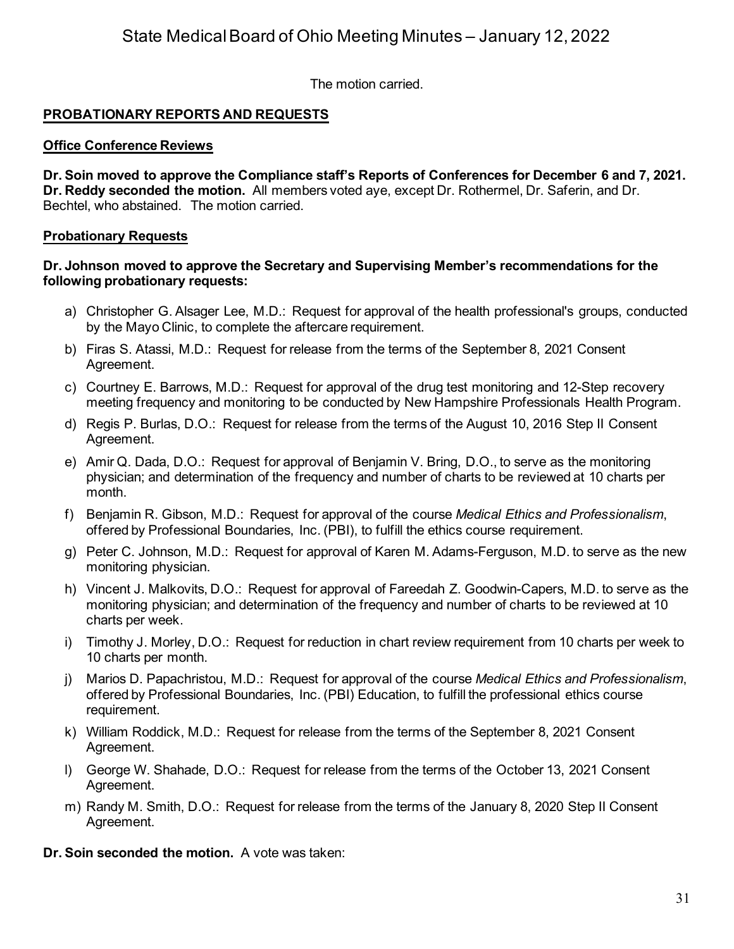The motion carried.

## **PROBATIONARY REPORTS AND REQUESTS**

#### **Office Conference Reviews**

**Dr. Soin moved to approve the Compliance staff's Reports of Conferences for December 6 and 7, 2021. Dr. Reddy seconded the motion.** All members voted aye, except Dr. Rothermel, Dr. Saferin, and Dr. Bechtel, who abstained. The motion carried.

#### **Probationary Requests**

#### **Dr. Johnson moved to approve the Secretary and Supervising Member's recommendations for the following probationary requests:**

- a) Christopher G. Alsager Lee, M.D.: Request for approval of the health professional's groups, conducted by the Mayo Clinic, to complete the aftercare requirement.
- b) Firas S. Atassi, M.D.: Request for release from the terms of the September 8, 2021 Consent Agreement.
- c) Courtney E. Barrows, M.D.: Request for approval of the drug test monitoring and 12-Step recovery meeting frequency and monitoring to be conducted by New Hampshire Professionals Health Program.
- d) Regis P. Burlas, D.O.: Request for release from the terms of the August 10, 2016 Step II Consent Agreement.
- e) Amir Q. Dada, D.O.: Request for approval of Benjamin V. Bring, D.O., to serve as the monitoring physician; and determination of the frequency and number of charts to be reviewed at 10 charts per month.
- f) Benjamin R. Gibson, M.D.: Request for approval of the course *Medical Ethics and Professionalism*, offered by Professional Boundaries, Inc. (PBI), to fulfill the ethics course requirement.
- g) Peter C. Johnson, M.D.: Request for approval of Karen M. Adams-Ferguson, M.D. to serve as the new monitoring physician.
- h) Vincent J. Malkovits, D.O.: Request for approval of Fareedah Z. Goodwin-Capers, M.D. to serve as the monitoring physician; and determination of the frequency and number of charts to be reviewed at 10 charts per week.
- i) Timothy J. Morley, D.O.: Request for reduction in chart review requirement from 10 charts per week to 10 charts per month.
- j) Marios D. Papachristou, M.D.: Request for approval of the course *Medical Ethics and Professionalism*, offered by Professional Boundaries, Inc. (PBI) Education, to fulfill the professional ethics course requirement.
- k) William Roddick, M.D.: Request for release from the terms of the September 8, 2021 Consent Agreement.
- l) George W. Shahade, D.O.: Request for release from the terms of the October 13, 2021 Consent Agreement.
- m) Randy M. Smith, D.O.: Request for release from the terms of the January 8, 2020 Step II Consent Agreement.
- **Dr. Soin seconded the motion.** A vote was taken: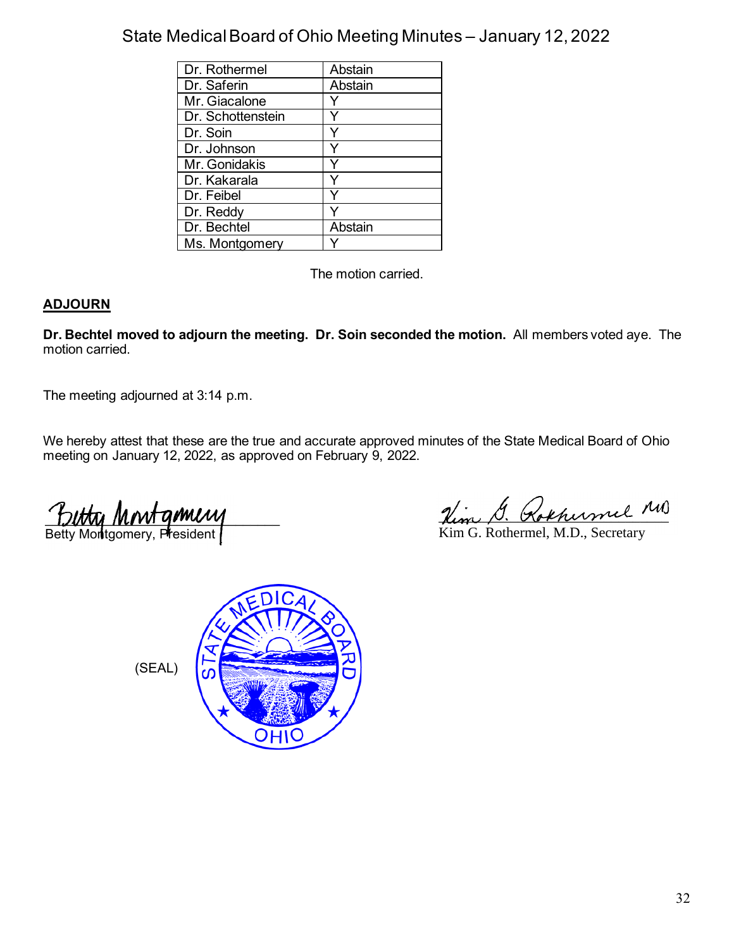| Dr. Rothermel     | Abstain |
|-------------------|---------|
| Dr. Saferin       | Abstain |
| Mr. Giacalone     |         |
| Dr. Schottenstein |         |
| Dr. Soin          |         |
| Dr. Johnson       |         |
| Mr. Gonidakis     |         |
| Dr. Kakarala      |         |
| Dr. Feibel        |         |
| Dr. Reddy         |         |
| Dr. Bechtel       | Abstain |
| Ms. Montgomery    |         |

The motion carried.

## **ADJOURN**

**Dr. Bechtel moved to adjourn the meeting. Dr. Soin seconded the motion.** All members voted aye. The motion carried.

The meeting adjourned at 3:14 p.m.

We hereby attest that these are the true and accurate approved minutes of the State Medical Board of Ohio meeting on January 12, 2022, as approved on February 9, 2022.

 $L$ Betty Montgomery, President

Him G. Rokhermel MD

Kim G. Rothermel, M.D., Secretary



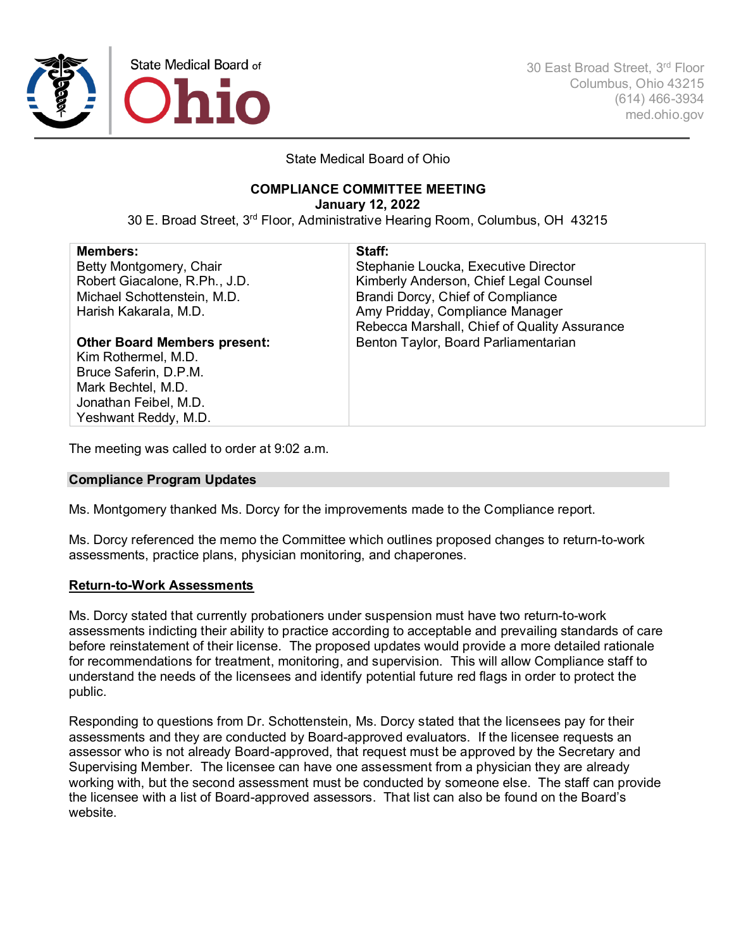

30 East Broad Street, 3rd Floor Columbus, Ohio 43215 (614) 466-3934 med.ohio.gov

State Medical Board of Ohio

## **COMPLIANCE COMMITTEE MEETING**

**January 12, 2022**

30 E. Broad Street, 3rd Floor, Administrative Hearing Room, Columbus, OH 43215

| Staff:                                       |
|----------------------------------------------|
| Stephanie Loucka, Executive Director         |
| Kimberly Anderson, Chief Legal Counsel       |
| Brandi Dorcy, Chief of Compliance            |
| Amy Pridday, Compliance Manager              |
| Rebecca Marshall, Chief of Quality Assurance |
| Benton Taylor, Board Parliamentarian         |
|                                              |
|                                              |
|                                              |
|                                              |
|                                              |
|                                              |

The meeting was called to order at 9:02 a.m.

#### **Compliance Program Updates**

Ms. Montgomery thanked Ms. Dorcy for the improvements made to the Compliance report.

Ms. Dorcy referenced the memo the Committee which outlines proposed changes to return-to-work assessments, practice plans, physician monitoring, and chaperones.

#### **Return-to-Work Assessments**

Ms. Dorcy stated that currently probationers under suspension must have two return-to-work assessments indicting their ability to practice according to acceptable and prevailing standards of care before reinstatement of their license. The proposed updates would provide a more detailed rationale for recommendations for treatment, monitoring, and supervision. This will allow Compliance staff to understand the needs of the licensees and identify potential future red flags in order to protect the public.

Responding to questions from Dr. Schottenstein, Ms. Dorcy stated that the licensees pay for their assessments and they are conducted by Board-approved evaluators. If the licensee requests an assessor who is not already Board-approved, that request must be approved by the Secretary and Supervising Member. The licensee can have one assessment from a physician they are already working with, but the second assessment must be conducted by someone else. The staff can provide the licensee with a list of Board-approved assessors. That list can also be found on the Board's website.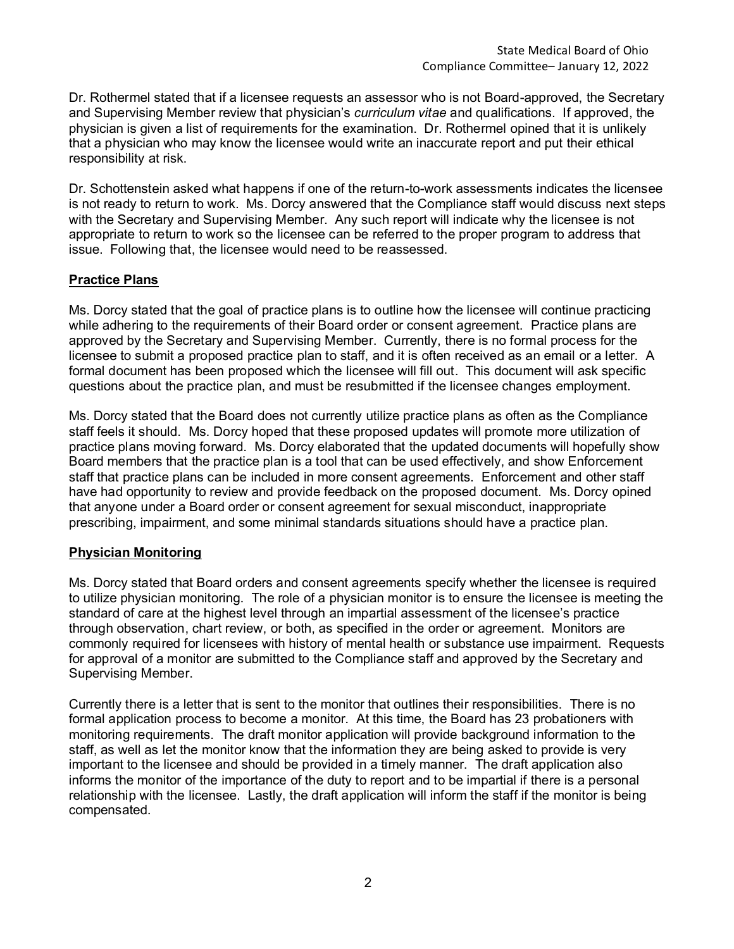Dr. Rothermel stated that if a licensee requests an assessor who is not Board-approved, the Secretary and Supervising Member review that physician's *curriculum vitae* and qualifications. If approved, the physician is given a list of requirements for the examination. Dr. Rothermel opined that it is unlikely that a physician who may know the licensee would write an inaccurate report and put their ethical responsibility at risk.

Dr. Schottenstein asked what happens if one of the return-to-work assessments indicates the licensee is not ready to return to work. Ms. Dorcy answered that the Compliance staff would discuss next steps with the Secretary and Supervising Member. Any such report will indicate why the licensee is not appropriate to return to work so the licensee can be referred to the proper program to address that issue. Following that, the licensee would need to be reassessed.

#### **Practice Plans**

Ms. Dorcy stated that the goal of practice plans is to outline how the licensee will continue practicing while adhering to the requirements of their Board order or consent agreement. Practice plans are approved by the Secretary and Supervising Member. Currently, there is no formal process for the licensee to submit a proposed practice plan to staff, and it is often received as an email or a letter. A formal document has been proposed which the licensee will fill out. This document will ask specific questions about the practice plan, and must be resubmitted if the licensee changes employment.

Ms. Dorcy stated that the Board does not currently utilize practice plans as often as the Compliance staff feels it should. Ms. Dorcy hoped that these proposed updates will promote more utilization of practice plans moving forward. Ms. Dorcy elaborated that the updated documents will hopefully show Board members that the practice plan is a tool that can be used effectively, and show Enforcement staff that practice plans can be included in more consent agreements. Enforcement and other staff have had opportunity to review and provide feedback on the proposed document. Ms. Dorcy opined that anyone under a Board order or consent agreement for sexual misconduct, inappropriate prescribing, impairment, and some minimal standards situations should have a practice plan.

#### **Physician Monitoring**

Ms. Dorcy stated that Board orders and consent agreements specify whether the licensee is required to utilize physician monitoring. The role of a physician monitor is to ensure the licensee is meeting the standard of care at the highest level through an impartial assessment of the licensee's practice through observation, chart review, or both, as specified in the order or agreement. Monitors are commonly required for licensees with history of mental health or substance use impairment. Requests for approval of a monitor are submitted to the Compliance staff and approved by the Secretary and Supervising Member.

Currently there is a letter that is sent to the monitor that outlines their responsibilities. There is no formal application process to become a monitor. At this time, the Board has 23 probationers with monitoring requirements. The draft monitor application will provide background information to the staff, as well as let the monitor know that the information they are being asked to provide is very important to the licensee and should be provided in a timely manner. The draft application also informs the monitor of the importance of the duty to report and to be impartial if there is a personal relationship with the licensee. Lastly, the draft application will inform the staff if the monitor is being compensated.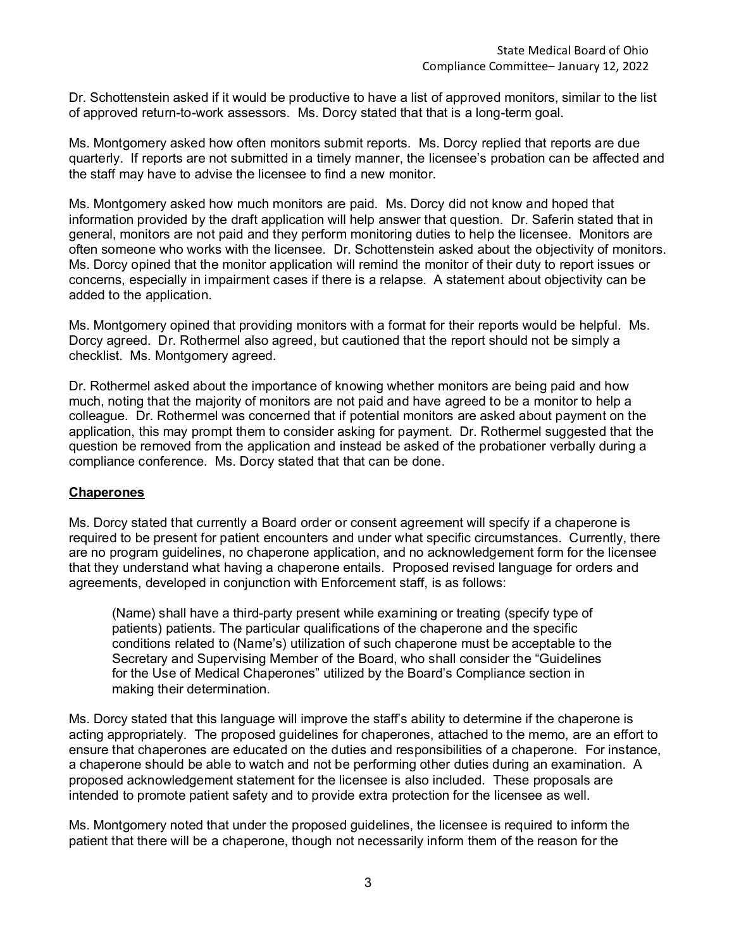Dr. Schottenstein asked if it would be productive to have a list of approved monitors, similar to the list of approved return-to-work assessors. Ms. Dorcy stated that that is a long-term goal.

Ms. Montgomery asked how often monitors submit reports. Ms. Dorcy replied that reports are due quarterly. If reports are not submitted in a timely manner, the licensee's probation can be affected and the staff may have to advise the licensee to find a new monitor.

Ms. Montgomery asked how much monitors are paid. Ms. Dorcy did not know and hoped that information provided by the draft application will help answer that question. Dr. Saferin stated that in general, monitors are not paid and they perform monitoring duties to help the licensee. Monitors are often someone who works with the licensee. Dr. Schottenstein asked about the objectivity of monitors. Ms. Dorcy opined that the monitor application will remind the monitor of their duty to report issues or concerns, especially in impairment cases if there is a relapse. A statement about objectivity can be added to the application.

Ms. Montgomery opined that providing monitors with a format for their reports would be helpful. Ms. Dorcy agreed. Dr. Rothermel also agreed, but cautioned that the report should not be simply a checklist. Ms. Montgomery agreed.

Dr. Rothermel asked about the importance of knowing whether monitors are being paid and how much, noting that the majority of monitors are not paid and have agreed to be a monitor to help a colleague. Dr. Rothermel was concerned that if potential monitors are asked about payment on the application, this may prompt them to consider asking for payment. Dr. Rothermel suggested that the question be removed from the application and instead be asked of the probationer verbally during a compliance conference. Ms. Dorcy stated that that can be done.

#### **Chaperones**

Ms. Dorcy stated that currently a Board order or consent agreement will specify if a chaperone is required to be present for patient encounters and under what specific circumstances. Currently, there are no program guidelines, no chaperone application, and no acknowledgement form for the licensee that they understand what having a chaperone entails. Proposed revised language for orders and agreements, developed in conjunction with Enforcement staff, is as follows:

(Name) shall have a third-party present while examining or treating (specify type of patients) patients. The particular qualifications of the chaperone and the specific conditions related to (Name's) utilization of such chaperone must be acceptable to the Secretary and Supervising Member of the Board, who shall consider the "Guidelines for the Use of Medical Chaperones" utilized by the Board's Compliance section in making their determination.

Ms. Dorcy stated that this language will improve the staff's ability to determine if the chaperone is acting appropriately. The proposed guidelines for chaperones, attached to the memo, are an effort to ensure that chaperones are educated on the duties and responsibilities of a chaperone. For instance, a chaperone should be able to watch and not be performing other duties during an examination. A proposed acknowledgement statement for the licensee is also included. These proposals are intended to promote patient safety and to provide extra protection for the licensee as well.

Ms. Montgomery noted that under the proposed guidelines, the licensee is required to inform the patient that there will be a chaperone, though not necessarily inform them of the reason for the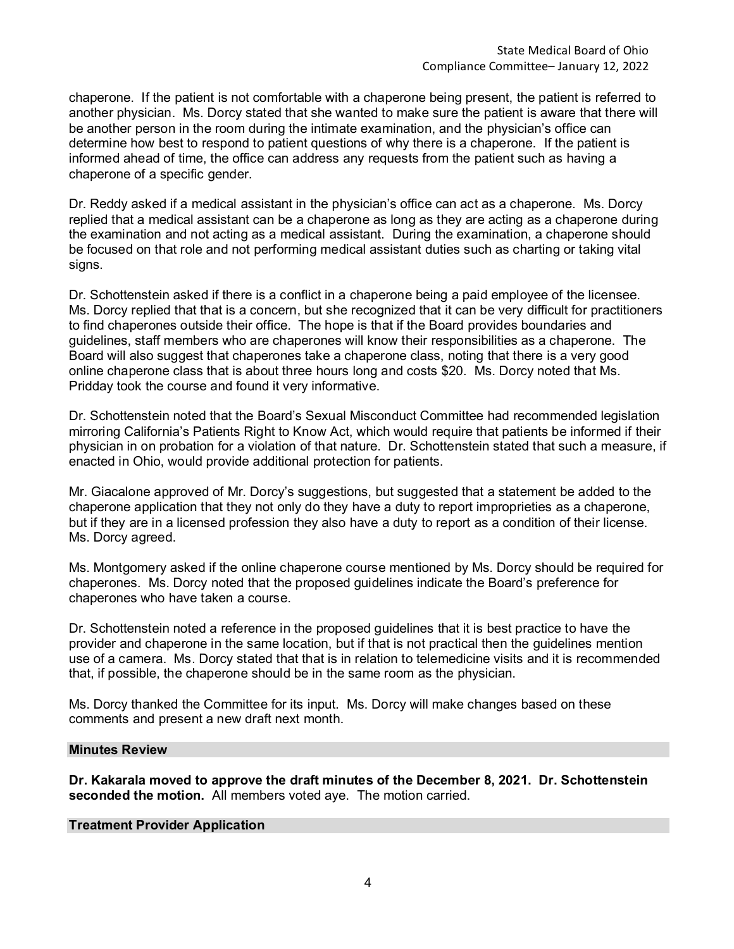chaperone. If the patient is not comfortable with a chaperone being present, the patient is referred to another physician. Ms. Dorcy stated that she wanted to make sure the patient is aware that there will be another person in the room during the intimate examination, and the physician's office can determine how best to respond to patient questions of why there is a chaperone. If the patient is informed ahead of time, the office can address any requests from the patient such as having a chaperone of a specific gender.

Dr. Reddy asked if a medical assistant in the physician's office can act as a chaperone. Ms. Dorcy replied that a medical assistant can be a chaperone as long as they are acting as a chaperone during the examination and not acting as a medical assistant. During the examination, a chaperone should be focused on that role and not performing medical assistant duties such as charting or taking vital signs.

Dr. Schottenstein asked if there is a conflict in a chaperone being a paid employee of the licensee. Ms. Dorcy replied that that is a concern, but she recognized that it can be very difficult for practitioners to find chaperones outside their office. The hope is that if the Board provides boundaries and guidelines, staff members who are chaperones will know their responsibilities as a chaperone. The Board will also suggest that chaperones take a chaperone class, noting that there is a very good online chaperone class that is about three hours long and costs \$20. Ms. Dorcy noted that Ms. Pridday took the course and found it very informative.

Dr. Schottenstein noted that the Board's Sexual Misconduct Committee had recommended legislation mirroring California's Patients Right to Know Act, which would require that patients be informed if their physician in on probation for a violation of that nature. Dr. Schottenstein stated that such a measure, if enacted in Ohio, would provide additional protection for patients.

Mr. Giacalone approved of Mr. Dorcy's suggestions, but suggested that a statement be added to the chaperone application that they not only do they have a duty to report improprieties as a chaperone, but if they are in a licensed profession they also have a duty to report as a condition of their license. Ms. Dorcy agreed.

Ms. Montgomery asked if the online chaperone course mentioned by Ms. Dorcy should be required for chaperones. Ms. Dorcy noted that the proposed guidelines indicate the Board's preference for chaperones who have taken a course.

Dr. Schottenstein noted a reference in the proposed guidelines that it is best practice to have the provider and chaperone in the same location, but if that is not practical then the guidelines mention use of a camera. Ms. Dorcy stated that that is in relation to telemedicine visits and it is recommended that, if possible, the chaperone should be in the same room as the physician.

Ms. Dorcy thanked the Committee for its input. Ms. Dorcy will make changes based on these comments and present a new draft next month.

#### **Minutes Review**

**Dr. Kakarala moved to approve the draft minutes of the December 8, 2021. Dr. Schottenstein seconded the motion.** All members voted aye. The motion carried.

#### **Treatment Provider Application**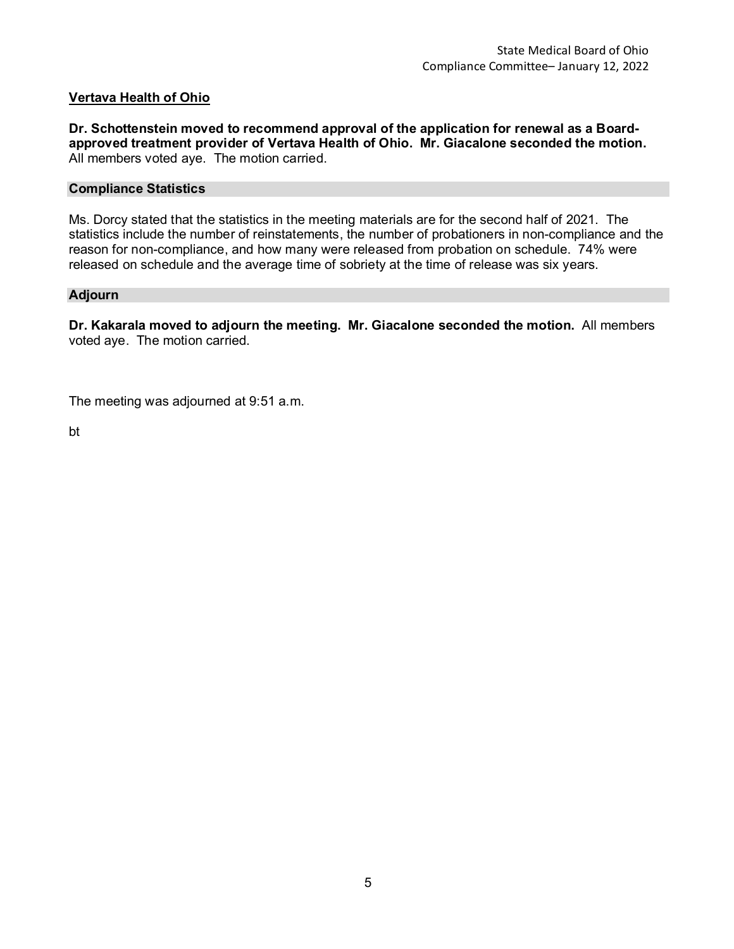#### **Vertava Health of Ohio**

**Dr. Schottenstein moved to recommend approval of the application for renewal as a Boardapproved treatment provider of Vertava Health of Ohio. Mr. Giacalone seconded the motion.** All members voted aye. The motion carried.

#### **Compliance Statistics**

Ms. Dorcy stated that the statistics in the meeting materials are for the second half of 2021. The statistics include the number of reinstatements, the number of probationers in non-compliance and the reason for non-compliance, and how many were released from probation on schedule. 74% were released on schedule and the average time of sobriety at the time of release was six years.

#### **Adjourn**

**Dr. Kakarala moved to adjourn the meeting. Mr. Giacalone seconded the motion.** All members voted aye. The motion carried.

The meeting was adjourned at 9:51 a.m.

bt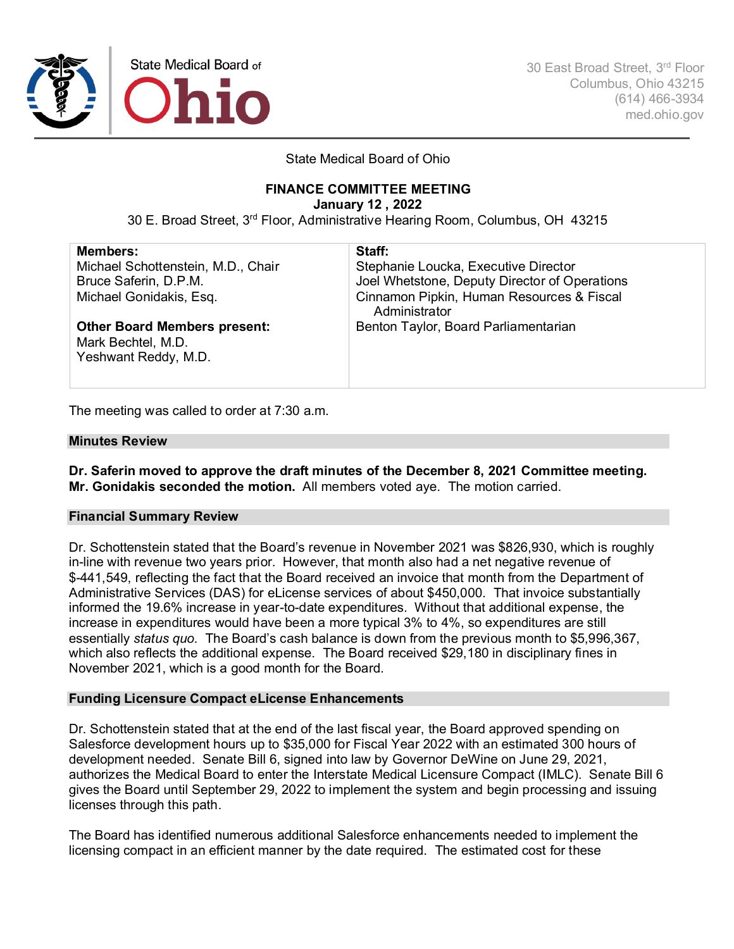

30 East Broad Street, 3rd Floor Columbus, Ohio 43215 (614) 466-3934 med.ohio.gov

#### State Medical Board of Ohio

## **FINANCE COMMITTEE MEETING**

**January 12 , 2022**

30 E. Broad Street, 3rd Floor, Administrative Hearing Room, Columbus, OH 43215

| <b>Members:</b>                                                                   | Staff:                                                     |
|-----------------------------------------------------------------------------------|------------------------------------------------------------|
| Michael Schottenstein, M.D., Chair                                                | Stephanie Loucka, Executive Director                       |
| Bruce Saferin, D.P.M.                                                             | Joel Whetstone, Deputy Director of Operations              |
| Michael Gonidakis, Esq.                                                           | Cinnamon Pipkin, Human Resources & Fiscal<br>Administrator |
| <b>Other Board Members present:</b><br>Mark Bechtel, M.D.<br>Yeshwant Reddy, M.D. | Benton Taylor, Board Parliamentarian                       |

The meeting was called to order at 7:30 a.m.

#### **Minutes Review**

**Dr. Saferin moved to approve the draft minutes of the December 8, 2021 Committee meeting. Mr. Gonidakis seconded the motion.** All members voted aye. The motion carried.

#### **Financial Summary Review**

Dr. Schottenstein stated that the Board's revenue in November 2021 was \$826,930, which is roughly in-line with revenue two years prior. However, that month also had a net negative revenue of \$-441,549, reflecting the fact that the Board received an invoice that month from the Department of Administrative Services (DAS) for eLicense services of about \$450,000. That invoice substantially informed the 19.6% increase in year-to-date expenditures. Without that additional expense, the increase in expenditures would have been a more typical 3% to 4%, so expenditures are still essentially *status quo*. The Board's cash balance is down from the previous month to \$5,996,367, which also reflects the additional expense. The Board received \$29,180 in disciplinary fines in November 2021, which is a good month for the Board.

#### **Funding Licensure Compact eLicense Enhancements**

Dr. Schottenstein stated that at the end of the last fiscal year, the Board approved spending on Salesforce development hours up to \$35,000 for Fiscal Year 2022 with an estimated 300 hours of development needed. Senate Bill 6, signed into law by Governor DeWine on June 29, 2021, authorizes the Medical Board to enter the Interstate Medical Licensure Compact (IMLC). Senate Bill 6 gives the Board until September 29, 2022 to implement the system and begin processing and issuing licenses through this path.

The Board has identified numerous additional Salesforce enhancements needed to implement the licensing compact in an efficient manner by the date required. The estimated cost for these